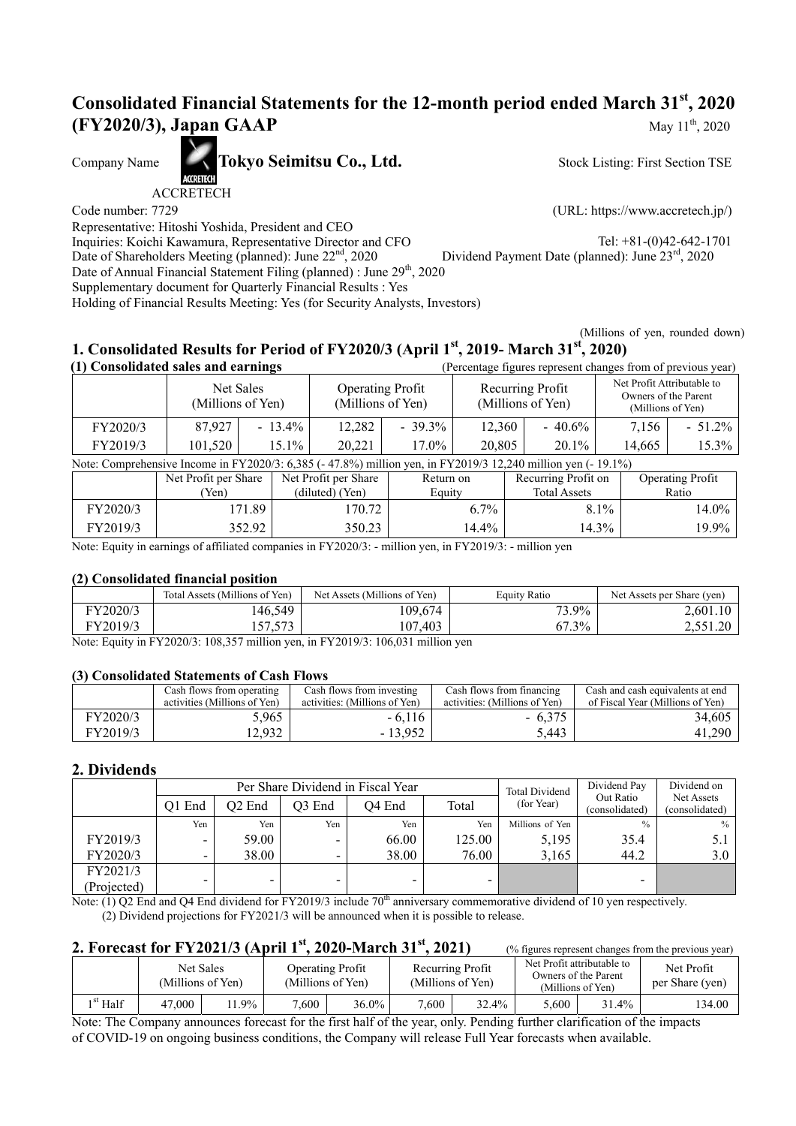# **Consolidated Financial Statements for the 12-month period ended March 31st, 2020 (FY2020/3), Japan GAAP** May 11<sup>th</sup>, 2020

Company Name **Tokyo Seimitsu Co., Ltd.** 

ACCRETECH

Code number: 7729 (URL: https://www.accretech.jp/)

Stock Listing: First Section TSE

Representative: Hitoshi Yoshida, President and CEO Inquiries: Koichi Kawamura, Representative Director and CFO Tel: +81-(0)42-642-1701

, 2020 Dividend Payment Date (planned): June 23rd , 2020

Date of Shareholders Meeting (planned): June 22<sup>nd</sup>, 2020 Date of Annual Financial Statement Filing (planned) : June 29<sup>th</sup>, 2020

Supplementary document for Quarterly Financial Results : Yes

Holding of Financial Results Meeting: Yes (for Security Analysts, Investors)

(Millions of yen, rounded down)

# **1. Consolidated Results for Period of FY2020/3 (April 1st, 2019- March 31st, 2020)**

| (1) Consolidated sales and earnings                                                                       |         |                                              |        |                                       | (Percentage figures represent changes from of previous year) |                                                                         |        |           |
|-----------------------------------------------------------------------------------------------------------|---------|----------------------------------------------|--------|---------------------------------------|--------------------------------------------------------------|-------------------------------------------------------------------------|--------|-----------|
| Net Sales<br>(Millions of Yen)                                                                            |         | <b>Operating Profit</b><br>(Millions of Yen) |        | Recurring Profit<br>(Millions of Yen) |                                                              | Net Profit Attributable to<br>Owners of the Parent<br>(Millions of Yen) |        |           |
| FY2020/3                                                                                                  | 87,927  | $-13.4\%$                                    | 12,282 | $-39.3\%$                             | 12.360                                                       | $-40.6\%$                                                               | 7.156  | $-51.2\%$ |
| FY2019/3                                                                                                  | 101,520 | $15.1\%$                                     | 20,221 | 17.0%                                 | 20,805                                                       | $20.1\%$                                                                | 14.665 | 15.3%     |
| Note: Communicative Income in EV20000, 6.295 (-47.00) million you in EV2010/2.12.240 million you (-10.10) |         |                                              |        |                                       |                                                              |                                                                         |        |           |

| Note: Comprehensive Income in FY2020/3: 6,385 (-47.8%) million yen, in FY2019/3 12,240 million yen (-19.1%) |                      |                      |           |                     |                         |  |  |  |  |
|-------------------------------------------------------------------------------------------------------------|----------------------|----------------------|-----------|---------------------|-------------------------|--|--|--|--|
|                                                                                                             | Net Profit per Share | Net Profit per Share | Return on | Recurring Profit on | <b>Operating Profit</b> |  |  |  |  |
|                                                                                                             | 'Yen)                | (diluted) (Yen)      | Equity    | <b>Total Assets</b> | Ratio                   |  |  |  |  |
| FY2020/3                                                                                                    | 171.89               | 170.72               | $6.7\%$   | $8.1\%$             | 14.0%                   |  |  |  |  |
| FY2019/3                                                                                                    | 352.92               | 350.23               | 14.4%     | 14.3%               | 19.9%                   |  |  |  |  |

Note: Equity in earnings of affiliated companies in FY2020/3: - million yen, in FY2019/3: - million yen

### **(2) Consolidated financial position**

|          | Total Assets (Millions of Yen)            | Net Assets (Millions of Yen) | Equity Ratio      | Net Assets per Share (yen)         |
|----------|-------------------------------------------|------------------------------|-------------------|------------------------------------|
| FY2020/3 | 146,549                                   | 109,674                      | $3.9\%$<br>$\sim$ | 2,601.10                           |
| FY2019/3 | $F \rightarrow \gamma$<br>1 <i>01.010</i> | 107,403                      | 67.3%             | . <i>.</i><br>$\Omega$<br>2.JJI.ZV |

Note: Equity in FY2020/3: 108,357 million yen, in FY2019/3: 106,031 million yen

### **(3) Consolidated Statements of Cash Flows**

|          | Cash flows from operating<br>activities (Millions of Yen) | Cash flows from investing<br>activities: (Millions of Yen) | Cash flows from financing<br>activities: (Millions of Yen) | Cash and cash equivalents at end<br>of Fiscal Year (Millions of Yen) |
|----------|-----------------------------------------------------------|------------------------------------------------------------|------------------------------------------------------------|----------------------------------------------------------------------|
| FY2020/3 | 5,965                                                     | $-6,116$                                                   | $-6.375$                                                   | 34,605                                                               |
| FY2019/3 | 2.932                                                     | $-13.952$                                                  | 5.443                                                      | 41,290                                                               |

### **2. Dividends**

|             |        |                    |                    | Per Share Dividend in Fiscal Year |        | <b>Total Dividend</b> | Dividend Pay                | Dividend on                  |
|-------------|--------|--------------------|--------------------|-----------------------------------|--------|-----------------------|-----------------------------|------------------------------|
|             | O1 End | O <sub>2</sub> End | O <sub>3</sub> End | O <sub>4</sub> End                | Total  | (for Year)            | Out Ratio<br>(consolidated) | Net Assets<br>(consolidated) |
|             | Yen    | Yen                | Yen                | Yen                               | Yen    | Millions of Yen       | $\frac{0}{0}$               | $\%$                         |
| FY2019/3    | -      | 59.00              | ۰.                 | 66.00                             | 125.00 | 5,195                 | 35.4                        | 5.1                          |
| FY2020/3    | -      | 38.00              |                    | 38.00                             | 76.00  | 3.165                 | 44.2                        | 3.0                          |
| FY2021/3    |        |                    |                    |                                   |        |                       |                             |                              |
| (Projected) | -      | -                  | -                  | -                                 |        |                       | -                           |                              |

Note:  $(1)$  Q2 End and Q4 End dividend for FY2019/3 include 70<sup>th</sup> anniversary commemorative dividend of 10 yen respectively. (2) Dividend projections for FY2021/3 will be announced when it is possible to release.

### **2. Forecast for FY2021/3 (April 1<sup>st</sup>, 2020-March 31<sup>st</sup>, 2021)** (% figures represent changes from the previous year)

|            |        | Net Sales<br>(Millions of Yen) |       | Operating Profit<br>(Millions of Yen) | (Millions of Yen) | Recurring Profit | Net Profit attributable to | Owners of the Parent<br>(Millions of Yen) | Net Profit<br>per Share (yen) |
|------------|--------|--------------------------------|-------|---------------------------------------|-------------------|------------------|----------------------------|-------------------------------------------|-------------------------------|
| $1st$ Half | 47.000 | $1.9\%$                        | 7.600 | $36.0\%$                              | 7.600             | 32.4%            | 5.600                      | $.1.4\%$                                  | 134.00                        |

Note: The Company announces forecast for the first half of the year, only. Pending further clarification of the impacts of COVID-19 on ongoing business conditions, the Company will release Full Year forecasts when available.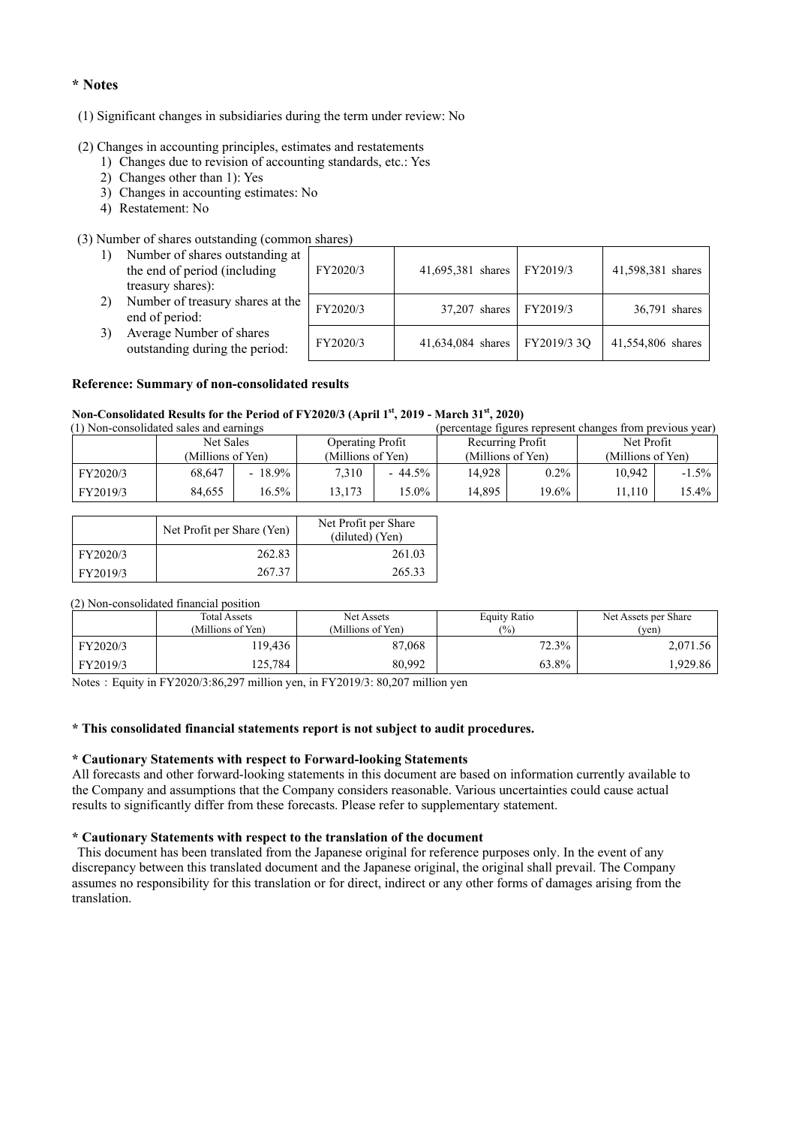#### **\* Notes**

#### (1) Significant changes in subsidiaries during the term under review: No

#### (2) Changes in accounting principles, estimates and restatements

- 1) Changes due to revision of accounting standards, etc.: Yes
- 2) Changes other than 1): Yes
- 3) Changes in accounting estimates: No
- 4) Restatement: No

#### (3) Number of shares outstanding (common shares)

| 1) | Number of shares outstanding at<br>the end of period (including<br>treasury shares): | FY2020/3 | 41,695,381 shares   FY2019/3    | 41,598,381 shares |
|----|--------------------------------------------------------------------------------------|----------|---------------------------------|-------------------|
| 2) | Number of treasury shares at the<br>end of period:                                   | FY2020/3 | 37,207 shares   FY2019/3        | 36,791 shares     |
| 3) | Average Number of shares<br>outstanding during the period:                           | FY2020/3 | 41,634,084 shares   FY2019/3 3Q | 41,554,806 shares |

#### **Reference: Summary of non-consolidated results**

#### **Non-Consolidated Results for the Period of FY2020/3 (April 1st, 2019 - March 31st, 2020)**

| (1) Non-consolidated sales and earnings |                   |           | (percentage figures represent changes from previous year) |           |        |                   |                   |            |  |
|-----------------------------------------|-------------------|-----------|-----------------------------------------------------------|-----------|--------|-------------------|-------------------|------------|--|
|                                         | Net Sales         |           | <b>Operating Profit</b>                                   |           |        |                   | Recurring Profit  | Net Profit |  |
|                                         | (Millions of Yen) |           | (Millions of Yen)                                         |           |        | (Millions of Yen) | (Millions of Yen) |            |  |
| FY2020/3                                | 68.647            | $-18.9\%$ | 7.310                                                     | $-44.5\%$ | 14.928 | $0.2\%$           | 10.942            | $-1.5\%$   |  |
| FY2019/3                                | 84.655            | 16.5%     | 13.173                                                    | 15.0%     | 14.895 | 19.6%             | 11.110            | 15.4%      |  |

|          | Net Profit per Share (Yen) | Net Profit per Share<br>(diluted) (Yen) |
|----------|----------------------------|-----------------------------------------|
| FY2020/3 | 262.83                     | 261.03                                  |
| FY2019/3 | 267.37                     | 265.33                                  |

#### (2) Non-consolidated financial position

|          | <b>Total Assets</b><br>(Millions of Yen) | Net Assets<br>(Millions of Yen) | <b>Equity Ratio</b><br>(9/0) | Net Assets per Share<br>(ven) |
|----------|------------------------------------------|---------------------------------|------------------------------|-------------------------------|
| FY2020/3 | 19.436                                   | 87,068                          | 72.3%                        | 2.071.56                      |
| FY2019/3 | 125.784                                  | 80.992                          | 63.8%                        | .929.86                       |

Notes:Equity in FY2020/3:86,297 million yen, in FY2019/3: 80,207 million yen

#### **\* This consolidated financial statements report is not subject to audit procedures.**

#### **\* Cautionary Statements with respect to Forward-looking Statements**

All forecasts and other forward-looking statements in this document are based on information currently available to the Company and assumptions that the Company considers reasonable. Various uncertainties could cause actual results to significantly differ from these forecasts. Please refer to supplementary statement.

#### **\* Cautionary Statements with respect to the translation of the document**

 This document has been translated from the Japanese original for reference purposes only. In the event of any discrepancy between this translated document and the Japanese original, the original shall prevail. The Company assumes no responsibility for this translation or for direct, indirect or any other forms of damages arising from the translation.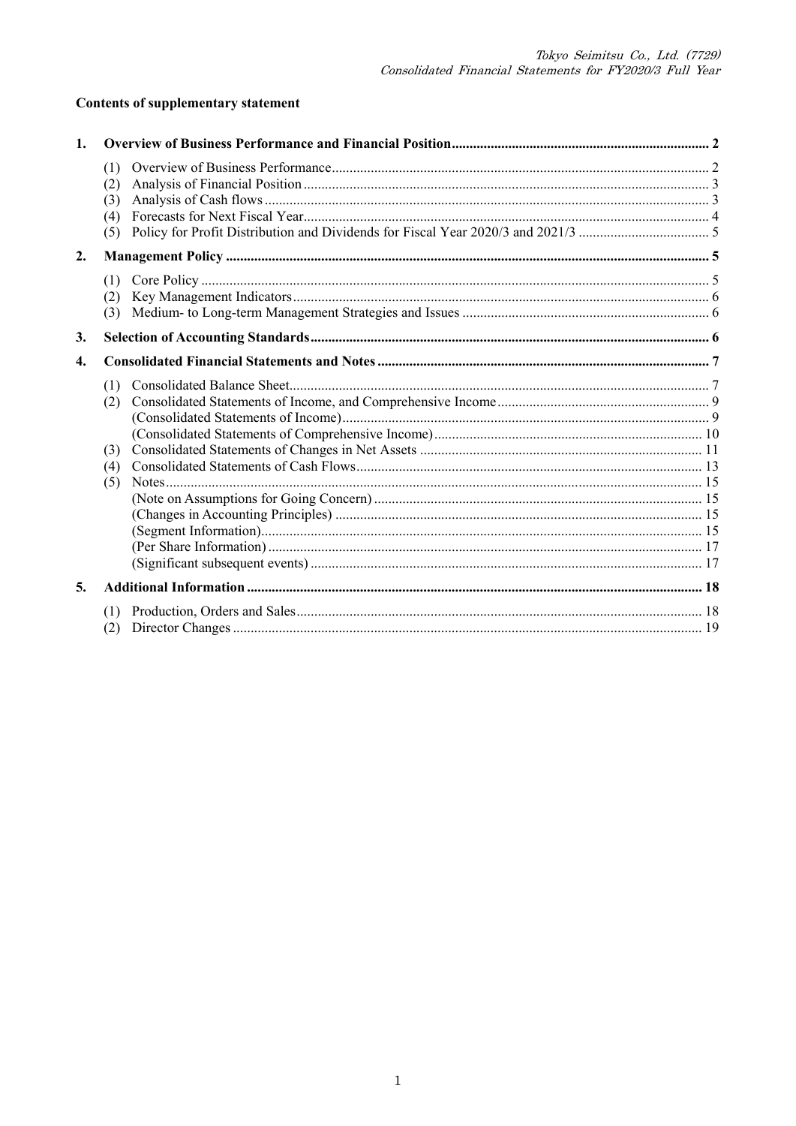## **Contents of supplementary statement**

| $\mathbf{1}$ . |                                 |  |
|----------------|---------------------------------|--|
|                | (1)<br>(2)<br>(3)<br>(4)<br>(5) |  |
| 2.             |                                 |  |
|                | (1)<br>(2)<br>(3)               |  |
| 3.             |                                 |  |
| $\mathbf{4}$   |                                 |  |
|                | (1)<br>(2)<br>(3)<br>(4)<br>(5) |  |
| 5.             |                                 |  |
|                | (1)<br>(2)                      |  |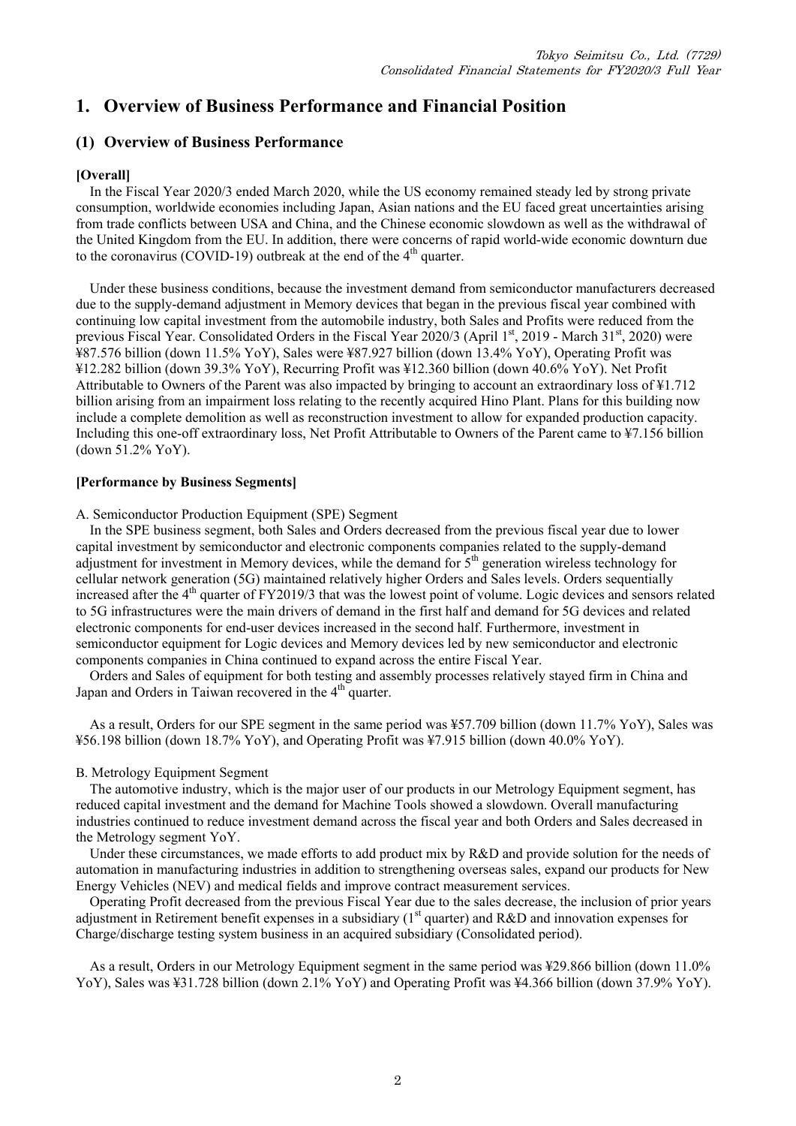# **1. Overview of Business Performance and Financial Position**

### **(1) Overview of Business Performance**

### **[Overall]**

In the Fiscal Year 2020/3 ended March 2020, while the US economy remained steady led by strong private consumption, worldwide economies including Japan, Asian nations and the EU faced great uncertainties arising from trade conflicts between USA and China, and the Chinese economic slowdown as well as the withdrawal of the United Kingdom from the EU. In addition, there were concerns of rapid world-wide economic downturn due to the coronavirus (COVID-19) outbreak at the end of the  $4<sup>th</sup>$  quarter.

Under these business conditions, because the investment demand from semiconductor manufacturers decreased due to the supply-demand adjustment in Memory devices that began in the previous fiscal year combined with continuing low capital investment from the automobile industry, both Sales and Profits were reduced from the previous Fiscal Year. Consolidated Orders in the Fiscal Year 2020/3 (April 1st, 2019 - March 31st, 2020) were ¥87.576 billion (down 11.5% YoY), Sales were ¥87.927 billion (down 13.4% YoY), Operating Profit was ¥12.282 billion (down 39.3% YoY), Recurring Profit was ¥12.360 billion (down 40.6% YoY). Net Profit Attributable to Owners of the Parent was also impacted by bringing to account an extraordinary loss of ¥1.712 billion arising from an impairment loss relating to the recently acquired Hino Plant. Plans for this building now include a complete demolition as well as reconstruction investment to allow for expanded production capacity. Including this one-off extraordinary loss, Net Profit Attributable to Owners of the Parent came to ¥7.156 billion (down 51.2% YoY).

#### **[Performance by Business Segments]**

A. Semiconductor Production Equipment (SPE) Segment

In the SPE business segment, both Sales and Orders decreased from the previous fiscal year due to lower capital investment by semiconductor and electronic components companies related to the supply-demand adjustment for investment in Memory devices, while the demand for  $5<sup>th</sup>$  generation wireless technology for cellular network generation (5G) maintained relatively higher Orders and Sales levels. Orders sequentially increased after the 4<sup>th</sup> quarter of FY2019/3 that was the lowest point of volume. Logic devices and sensors related to 5G infrastructures were the main drivers of demand in the first half and demand for 5G devices and related electronic components for end-user devices increased in the second half. Furthermore, investment in semiconductor equipment for Logic devices and Memory devices led by new semiconductor and electronic components companies in China continued to expand across the entire Fiscal Year.

Orders and Sales of equipment for both testing and assembly processes relatively stayed firm in China and Japan and Orders in Taiwan recovered in the  $4<sup>th</sup>$  quarter.

As a result, Orders for our SPE segment in the same period was ¥57.709 billion (down 11.7% YoY), Sales was ¥56.198 billion (down 18.7% YoY), and Operating Profit was ¥7.915 billion (down 40.0% YoY).

### B. Metrology Equipment Segment

The automotive industry, which is the major user of our products in our Metrology Equipment segment, has reduced capital investment and the demand for Machine Tools showed a slowdown. Overall manufacturing industries continued to reduce investment demand across the fiscal year and both Orders and Sales decreased in the Metrology segment YoY.

Under these circumstances, we made efforts to add product mix by R&D and provide solution for the needs of automation in manufacturing industries in addition to strengthening overseas sales, expand our products for New Energy Vehicles (NEV) and medical fields and improve contract measurement services.

Operating Profit decreased from the previous Fiscal Year due to the sales decrease, the inclusion of prior years adjustment in Retirement benefit expenses in a subsidiary  $(I<sup>st</sup>$  quarter) and R&D and innovation expenses for Charge/discharge testing system business in an acquired subsidiary (Consolidated period).

As a result, Orders in our Metrology Equipment segment in the same period was ¥29.866 billion (down 11.0% YoY), Sales was ¥31.728 billion (down 2.1% YoY) and Operating Profit was ¥4.366 billion (down 37.9% YoY).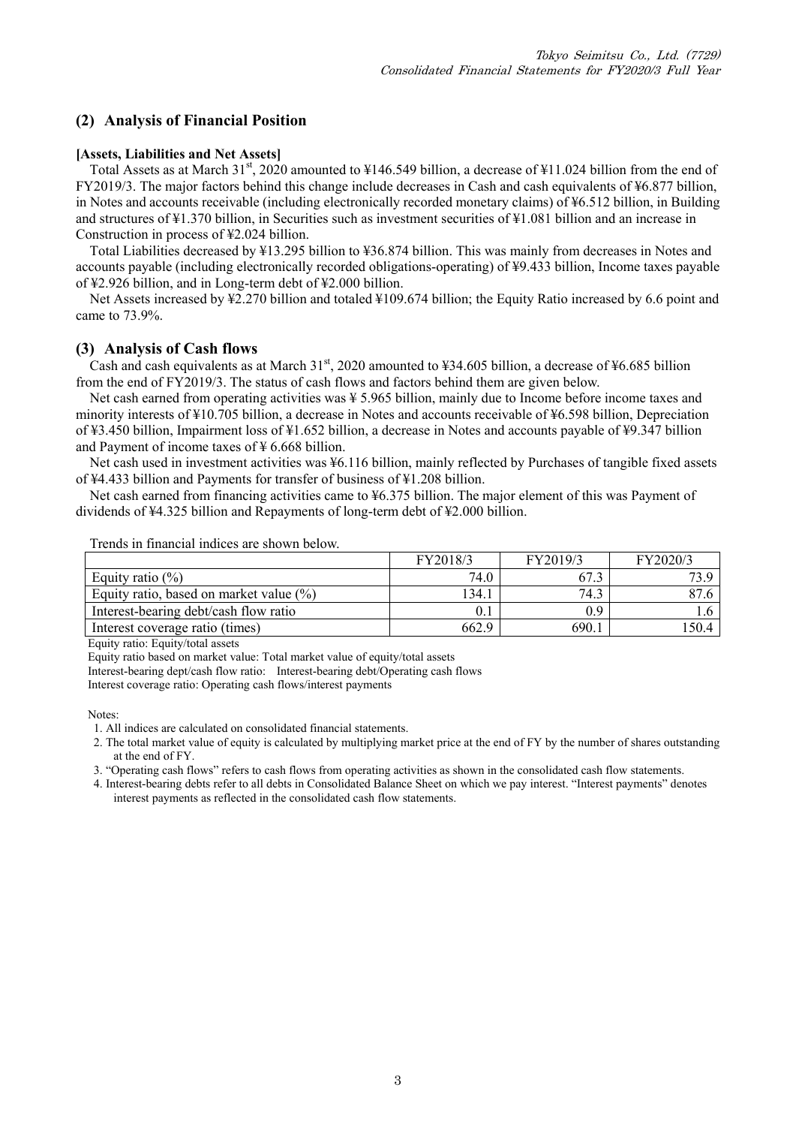### **(2) Analysis of Financial Position**

#### **[Assets, Liabilities and Net Assets]**

Total Assets as at March 31<sup>st</sup>, 2020 amounted to ¥146.549 billion, a decrease of ¥11.024 billion from the end of FY2019/3. The major factors behind this change include decreases in Cash and cash equivalents of ¥6.877 billion, in Notes and accounts receivable (including electronically recorded monetary claims) of ¥6.512 billion, in Building and structures of ¥1.370 billion, in Securities such as investment securities of ¥1.081 billion and an increase in Construction in process of ¥2.024 billion.

Total Liabilities decreased by ¥13.295 billion to ¥36.874 billion. This was mainly from decreases in Notes and accounts payable (including electronically recorded obligations-operating) of ¥9.433 billion, Income taxes payable of ¥2.926 billion, and in Long-term debt of ¥2.000 billion.

Net Assets increased by ¥2.270 billion and totaled ¥109.674 billion; the Equity Ratio increased by 6.6 point and came to 73.9%.

### **(3) Analysis of Cash flows**

Cash and cash equivalents as at March  $31<sup>st</sup>$ , 2020 amounted to ¥34.605 billion, a decrease of ¥6.685 billion from the end of FY2019/3. The status of cash flows and factors behind them are given below.

Net cash earned from operating activities was ¥ 5.965 billion, mainly due to Income before income taxes and minority interests of ¥10.705 billion, a decrease in Notes and accounts receivable of ¥6.598 billion, Depreciation of ¥3.450 billion, Impairment loss of ¥1.652 billion, a decrease in Notes and accounts payable of ¥9.347 billion and Payment of income taxes of ¥ 6.668 billion.

Net cash used in investment activities was ¥6.116 billion, mainly reflected by Purchases of tangible fixed assets of ¥4.433 billion and Payments for transfer of business of ¥1.208 billion.

Net cash earned from financing activities came to ¥6.375 billion. The major element of this was Payment of dividends of ¥4.325 billion and Repayments of long-term debt of ¥2.000 billion.

Trends in financial indices are shown below.

|                                             | FY2018/3 | FY2019/3 | FY2020/3 |
|---------------------------------------------|----------|----------|----------|
| Equity ratio $(\%)$                         | 74.0     | 67.3     |          |
| Equity ratio, based on market value $(\% )$ | 134.1    | 74.3     | 87.6     |
| Interest-bearing debt/cash flow ratio       |          | 0.9      |          |
| Interest coverage ratio (times)             | 662.9    | 690.1    | 150.4    |

Equity ratio: Equity/total assets

Equity ratio based on market value: Total market value of equity/total assets

Interest-bearing dept/cash flow ratio: Interest-bearing debt/Operating cash flows

Interest coverage ratio: Operating cash flows/interest payments

Notes:

2. The total market value of equity is calculated by multiplying market price at the end of FY by the number of shares outstanding at the end of FY.

3. "Operating cash flows" refers to cash flows from operating activities as shown in the consolidated cash flow statements.

4. Interest-bearing debts refer to all debts in Consolidated Balance Sheet on which we pay interest. "Interest payments" denotes interest payments as reflected in the consolidated cash flow statements.

<sup>1.</sup> All indices are calculated on consolidated financial statements.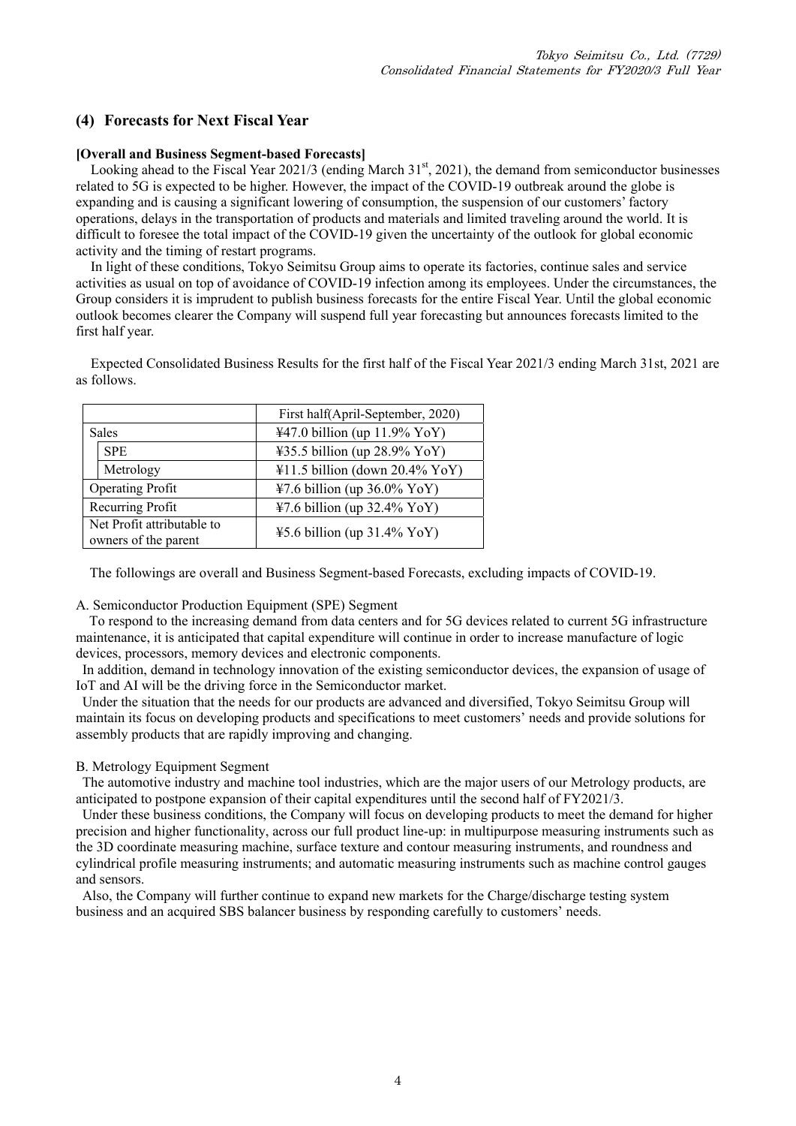### **(4) Forecasts for Next Fiscal Year**

#### **[Overall and Business Segment-based Forecasts]**

Looking ahead to the Fiscal Year 2021/3 (ending March  $31<sup>st</sup>$ , 2021), the demand from semiconductor businesses related to 5G is expected to be higher. However, the impact of the COVID-19 outbreak around the globe is expanding and is causing a significant lowering of consumption, the suspension of our customers' factory operations, delays in the transportation of products and materials and limited traveling around the world. It is difficult to foresee the total impact of the COVID-19 given the uncertainty of the outlook for global economic activity and the timing of restart programs.

In light of these conditions, Tokyo Seimitsu Group aims to operate its factories, continue sales and service activities as usual on top of avoidance of COVID-19 infection among its employees. Under the circumstances, the Group considers it is imprudent to publish business forecasts for the entire Fiscal Year. Until the global economic outlook becomes clearer the Company will suspend full year forecasting but announces forecasts limited to the first half year.

Expected Consolidated Business Results for the first half of the Fiscal Year 2021/3 ending March 31st, 2021 are as follows.

|              |                                                    | First half(April-September, 2020) |
|--------------|----------------------------------------------------|-----------------------------------|
| <b>Sales</b> |                                                    | $447.0$ billion (up 11.9% YoY)    |
|              | <b>SPE</b>                                         | ¥35.5 billion (up $28.9\%$ YoY)   |
|              | Metrology                                          | $41.5$ billion (down 20.4% YoY)   |
|              | Operating Profit                                   | ¥7.6 billion (up $36.0\%$ YoY)    |
|              | Recurring Profit                                   | $47.6$ billion (up 32.4% YoY)     |
|              | Net Profit attributable to<br>owners of the parent | $45.6$ billion (up 31.4% YoY)     |

The followings are overall and Business Segment-based Forecasts, excluding impacts of COVID-19.

#### A. Semiconductor Production Equipment (SPE) Segment

 To respond to the increasing demand from data centers and for 5G devices related to current 5G infrastructure maintenance, it is anticipated that capital expenditure will continue in order to increase manufacture of logic devices, processors, memory devices and electronic components.

In addition, demand in technology innovation of the existing semiconductor devices, the expansion of usage of IoT and AI will be the driving force in the Semiconductor market.

Under the situation that the needs for our products are advanced and diversified, Tokyo Seimitsu Group will maintain its focus on developing products and specifications to meet customers' needs and provide solutions for assembly products that are rapidly improving and changing.

#### B. Metrology Equipment Segment

The automotive industry and machine tool industries, which are the major users of our Metrology products, are anticipated to postpone expansion of their capital expenditures until the second half of FY2021/3.

Under these business conditions, the Company will focus on developing products to meet the demand for higher precision and higher functionality, across our full product line-up: in multipurpose measuring instruments such as the 3D coordinate measuring machine, surface texture and contour measuring instruments, and roundness and cylindrical profile measuring instruments; and automatic measuring instruments such as machine control gauges and sensors.

Also, the Company will further continue to expand new markets for the Charge/discharge testing system business and an acquired SBS balancer business by responding carefully to customers' needs.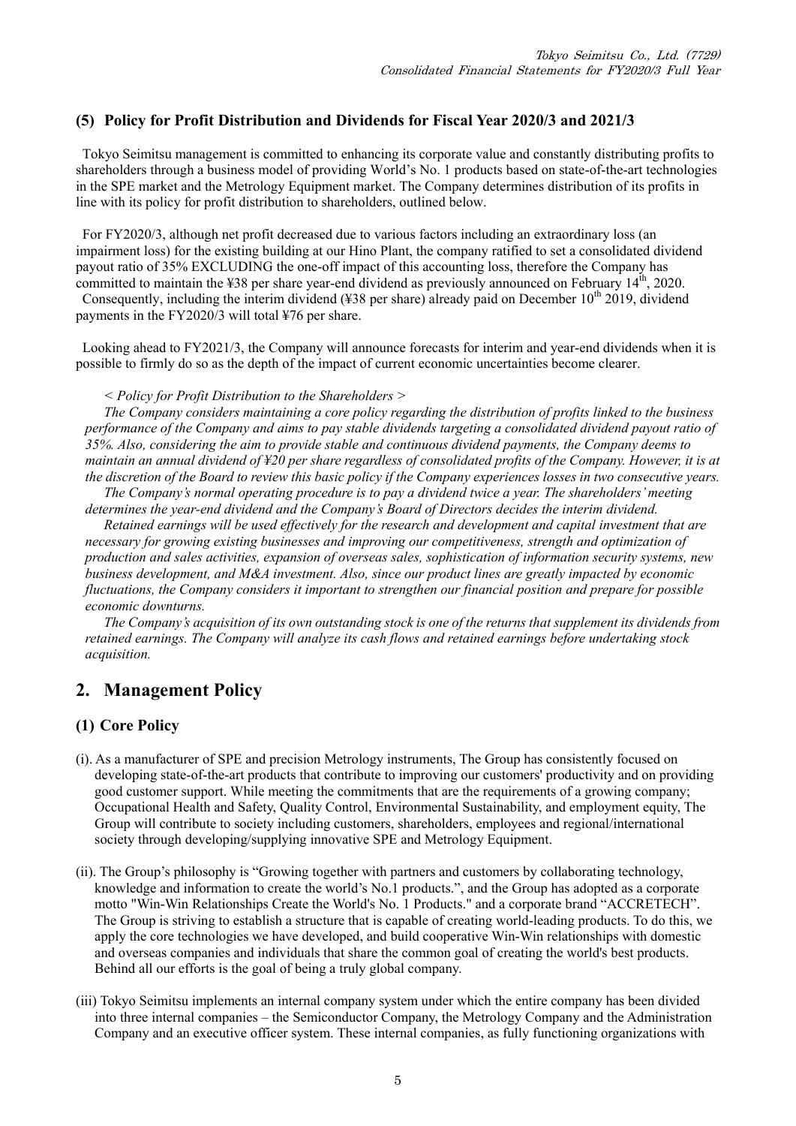### **(5) Policy for Profit Distribution and Dividends for Fiscal Year 2020/3 and 2021/3**

Tokyo Seimitsu management is committed to enhancing its corporate value and constantly distributing profits to shareholders through a business model of providing World's No. 1 products based on state-of-the-art technologies in the SPE market and the Metrology Equipment market. The Company determines distribution of its profits in line with its policy for profit distribution to shareholders, outlined below.

For FY2020/3, although net profit decreased due to various factors including an extraordinary loss (an impairment loss) for the existing building at our Hino Plant, the company ratified to set a consolidated dividend payout ratio of 35% EXCLUDING the one-off impact of this accounting loss, therefore the Company has committed to maintain the  $\text{\textsterling}38$  per share year-end dividend as previously announced on February 14<sup>th</sup>, 2020. Consequently, including the interim dividend (¥38 per share) already paid on December  $10^{th}$  2019, dividend payments in the FY2020/3 will total ¥76 per share.

Looking ahead to FY2021/3, the Company will announce forecasts for interim and year-end dividends when it is possible to firmly do so as the depth of the impact of current economic uncertainties become clearer.

*< Policy for Profit Distribution to the Shareholders >* 

*The Company considers maintaining a core policy regarding the distribution of profits linked to the business performance of the Company and aims to pay stable dividends targeting a consolidated dividend payout ratio of 35%. Also, considering the aim to provide stable and continuous dividend payments, the Company deems to maintain an annual dividend of ¥20 per share regardless of consolidated profits of the Company. However, it is at the discretion of the Board to review this basic policy if the Company experiences losses in two consecutive years.* 

*The Company's normal operating procedure is to pay a dividend twice a year. The shareholders' meeting determines the year-end dividend and the Company's Board of Directors decides the interim dividend.* 

*Retained earnings will be used effectively for the research and development and capital investment that are necessary for growing existing businesses and improving our competitiveness, strength and optimization of production and sales activities, expansion of overseas sales, sophistication of information security systems, new business development, and M&A investment. Also, since our product lines are greatly impacted by economic fluctuations, the Company considers it important to strengthen our financial position and prepare for possible economic downturns.* 

*The Company's acquisition of its own outstanding stock is one of the returns that supplement its dividends from retained earnings. The Company will analyze its cash flows and retained earnings before undertaking stock acquisition.* 

### **2. Management Policy**

### **(1) Core Policy**

- (i). As a manufacturer of SPE and precision Metrology instruments, The Group has consistently focused on developing state-of-the-art products that contribute to improving our customers' productivity and on providing good customer support. While meeting the commitments that are the requirements of a growing company; Occupational Health and Safety, Quality Control, Environmental Sustainability, and employment equity, The Group will contribute to society including customers, shareholders, employees and regional/international society through developing/supplying innovative SPE and Metrology Equipment.
- (ii). The Group's philosophy is "Growing together with partners and customers by collaborating technology, knowledge and information to create the world's No.1 products.", and the Group has adopted as a corporate motto "Win-Win Relationships Create the World's No. 1 Products." and a corporate brand "ACCRETECH". The Group is striving to establish a structure that is capable of creating world-leading products. To do this, we apply the core technologies we have developed, and build cooperative Win-Win relationships with domestic and overseas companies and individuals that share the common goal of creating the world's best products. Behind all our efforts is the goal of being a truly global company.
- (iii) Tokyo Seimitsu implements an internal company system under which the entire company has been divided into three internal companies – the Semiconductor Company, the Metrology Company and the Administration Company and an executive officer system. These internal companies, as fully functioning organizations with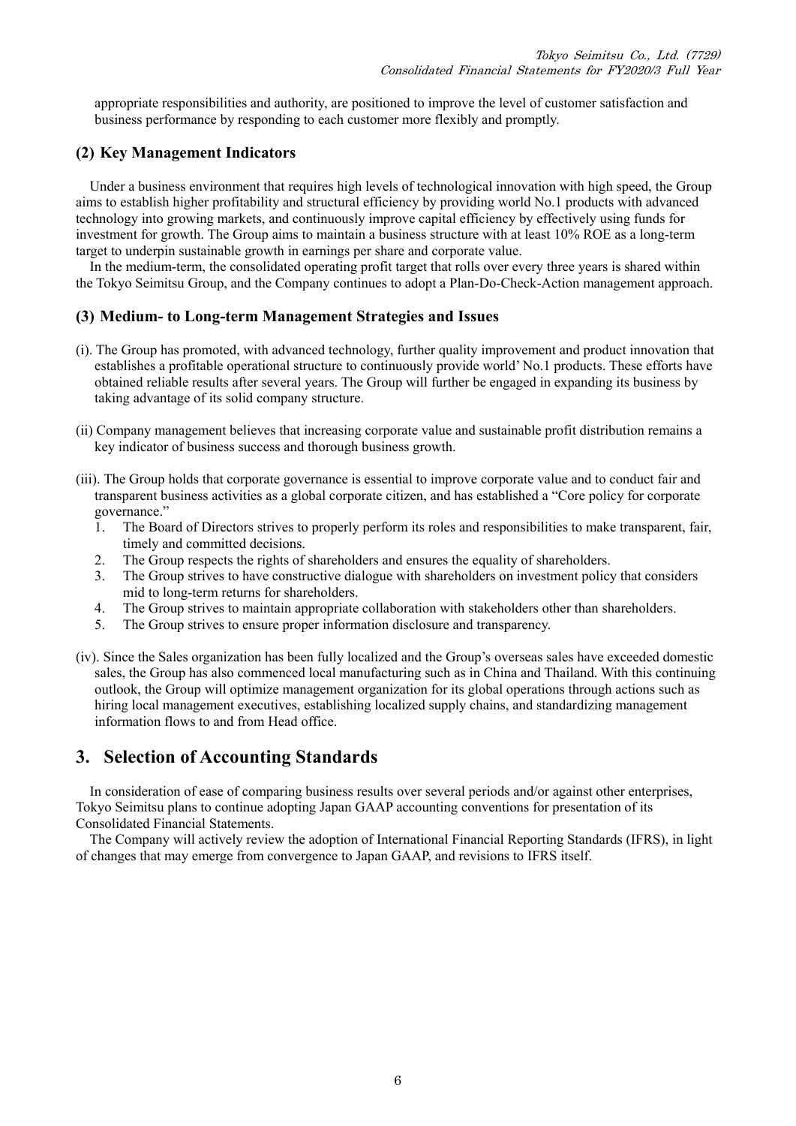appropriate responsibilities and authority, are positioned to improve the level of customer satisfaction and business performance by responding to each customer more flexibly and promptly.

### **(2) Key Management Indicators**

Under a business environment that requires high levels of technological innovation with high speed, the Group aims to establish higher profitability and structural efficiency by providing world No.1 products with advanced technology into growing markets, and continuously improve capital efficiency by effectively using funds for investment for growth. The Group aims to maintain a business structure with at least 10% ROE as a long-term target to underpin sustainable growth in earnings per share and corporate value.

In the medium-term, the consolidated operating profit target that rolls over every three years is shared within the Tokyo Seimitsu Group, and the Company continues to adopt a Plan-Do-Check-Action management approach.

### **(3) Medium- to Long-term Management Strategies and Issues**

- (i). The Group has promoted, with advanced technology, further quality improvement and product innovation that establishes a profitable operational structure to continuously provide world' No.1 products. These efforts have obtained reliable results after several years. The Group will further be engaged in expanding its business by taking advantage of its solid company structure.
- (ii) Company management believes that increasing corporate value and sustainable profit distribution remains a key indicator of business success and thorough business growth.
- (iii). The Group holds that corporate governance is essential to improve corporate value and to conduct fair and transparent business activities as a global corporate citizen, and has established a "Core policy for corporate governance."
	- 1. The Board of Directors strives to properly perform its roles and responsibilities to make transparent, fair, timely and committed decisions.
	- 2. The Group respects the rights of shareholders and ensures the equality of shareholders.
	- 3. The Group strives to have constructive dialogue with shareholders on investment policy that considers mid to long-term returns for shareholders.
	- 4. The Group strives to maintain appropriate collaboration with stakeholders other than shareholders.
	- 5. The Group strives to ensure proper information disclosure and transparency.
- (iv). Since the Sales organization has been fully localized and the Group's overseas sales have exceeded domestic sales, the Group has also commenced local manufacturing such as in China and Thailand. With this continuing outlook, the Group will optimize management organization for its global operations through actions such as hiring local management executives, establishing localized supply chains, and standardizing management information flows to and from Head office.

### **3. Selection of Accounting Standards**

In consideration of ease of comparing business results over several periods and/or against other enterprises, Tokyo Seimitsu plans to continue adopting Japan GAAP accounting conventions for presentation of its Consolidated Financial Statements.

The Company will actively review the adoption of International Financial Reporting Standards (IFRS), in light of changes that may emerge from convergence to Japan GAAP, and revisions to IFRS itself.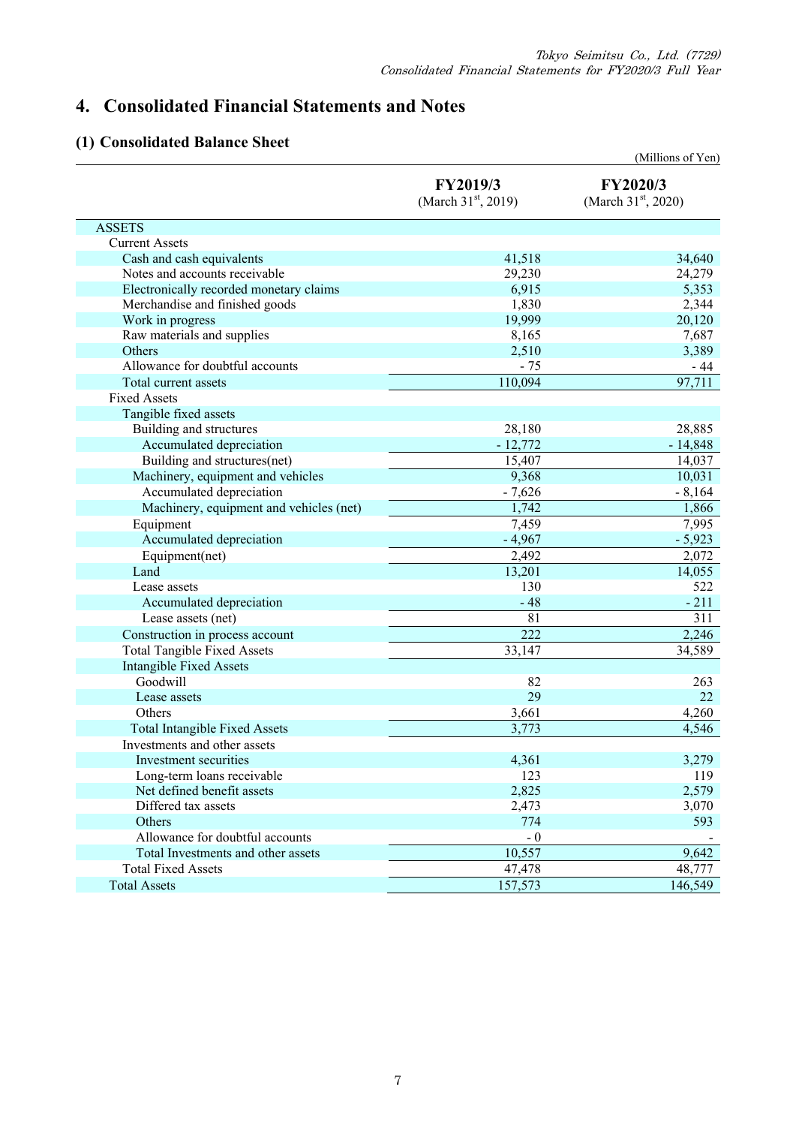# **4. Consolidated Financial Statements and Notes**

## **(1) Consolidated Balance Sheet**

|                                         |                                   | (Millions of Yen)                           |
|-----------------------------------------|-----------------------------------|---------------------------------------------|
|                                         | FY2019/3<br>(March $31st$ , 2019) | FY2020/3<br>(March 31 <sup>st</sup> , 2020) |
| <b>ASSETS</b>                           |                                   |                                             |
| <b>Current Assets</b>                   |                                   |                                             |
| Cash and cash equivalents               | 41,518                            | 34,640                                      |
| Notes and accounts receivable           | 29,230                            | 24,279                                      |
| Electronically recorded monetary claims | 6,915                             | 5,353                                       |
| Merchandise and finished goods          | 1,830                             | 2,344                                       |
| Work in progress                        | 19,999                            | 20,120                                      |
| Raw materials and supplies              | 8,165                             | 7,687                                       |
| Others                                  | 2,510                             | 3,389                                       |
| Allowance for doubtful accounts         | $-75$                             | - 44                                        |
| Total current assets                    | 110,094                           | 97,711                                      |
| <b>Fixed Assets</b>                     |                                   |                                             |
| Tangible fixed assets                   |                                   |                                             |
| Building and structures                 | 28,180                            | 28,885                                      |
| Accumulated depreciation                | $-12,772$                         | $-14,848$                                   |
| Building and structures(net)            | 15,407                            | 14,037                                      |
| Machinery, equipment and vehicles       | 9,368                             | 10,031                                      |
| Accumulated depreciation                | $-7,626$                          | $-8,164$                                    |
| Machinery, equipment and vehicles (net) | 1,742                             | 1,866                                       |
| Equipment                               | 7,459                             | 7,995                                       |
| Accumulated depreciation                | $-4,967$                          | $-5,923$                                    |
| Equipment(net)                          | 2,492                             | 2,072                                       |
| Land                                    | 13,201                            | 14,055                                      |
| Lease assets                            | 130                               | 522                                         |
| Accumulated depreciation                | $-48$                             | $-211$                                      |
| Lease assets (net)                      | 81                                | 311                                         |
| Construction in process account         | 222                               | 2,246                                       |
| <b>Total Tangible Fixed Assets</b>      | 33,147                            | 34,589                                      |
| <b>Intangible Fixed Assets</b>          |                                   |                                             |
| Goodwill                                | 82                                | 263                                         |
| Lease assets                            | 29                                | 22                                          |
| Others                                  | 3,661                             | 4,260                                       |
| <b>Total Intangible Fixed Assets</b>    | 3,773                             | 4,546                                       |
| Investments and other assets            |                                   |                                             |
| Investment securities                   | 4,361                             | 3,279                                       |
| Long-term loans receivable              | 123                               | 119                                         |
| Net defined benefit assets              | 2,825                             | 2,579                                       |
| Differed tax assets                     | 2,473                             | 3,070                                       |
| Others                                  | 774                               | 593                                         |
| Allowance for doubtful accounts         | $-0$                              |                                             |
| Total Investments and other assets      | 10,557                            | 9,642                                       |
| <b>Total Fixed Assets</b>               | 47,478                            | 48,777                                      |
| <b>Total Assets</b>                     | 157,573                           | 146,549                                     |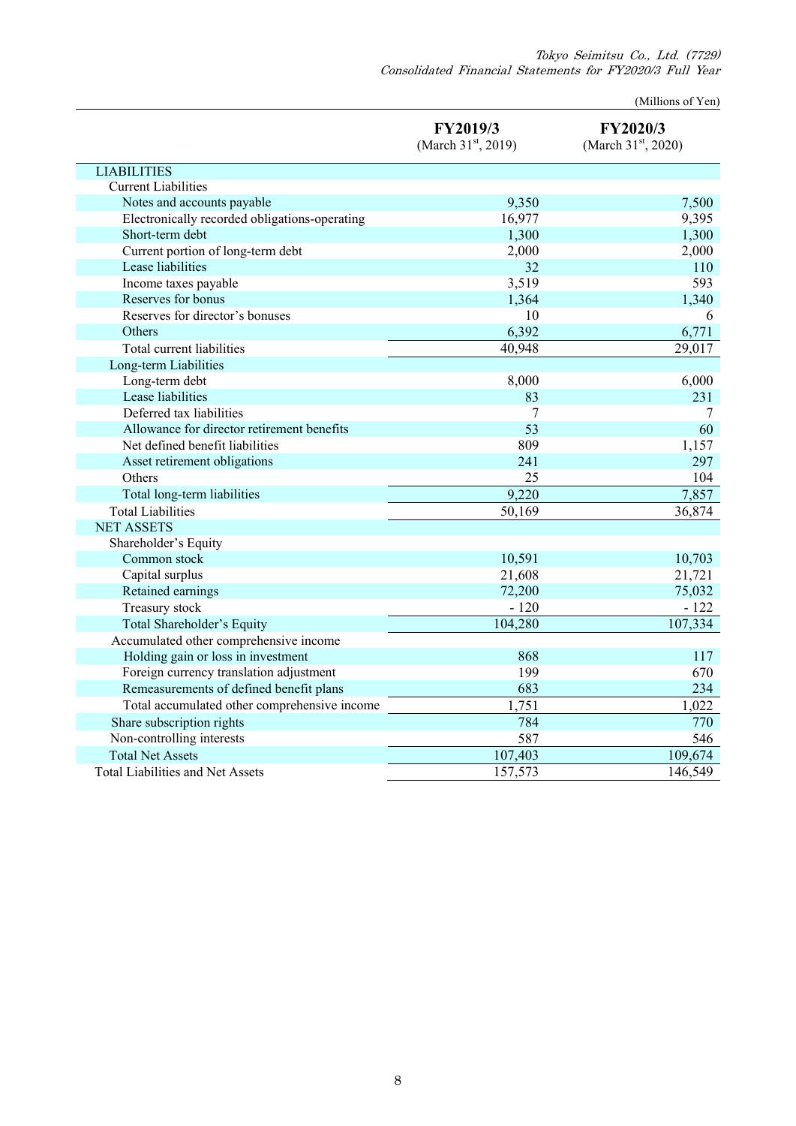Tokyo Seimitsu Co., Ltd. (7729) Consolidated Financial Statements for FY2020/3 Full Year

(Millions of Yen)

|                                               | FY2019/3<br>(March 31 <sup>st</sup> , 2019) | FY2020/3<br>(March 31 <sup>st</sup> , 2020) |
|-----------------------------------------------|---------------------------------------------|---------------------------------------------|
| <b>LIABILITIES</b>                            |                                             |                                             |
| <b>Current Liabilities</b>                    |                                             |                                             |
| Notes and accounts payable                    | 9,350                                       | 7,500                                       |
| Electronically recorded obligations-operating | 16,977                                      | 9,395                                       |
| Short-term debt                               | 1,300                                       | 1,300                                       |
| Current portion of long-term debt             | 2,000                                       | 2,000                                       |
| Lease liabilities                             | 32                                          | 110                                         |
| Income taxes payable                          | 3,519                                       | 593                                         |
| Reserves for bonus                            | 1,364                                       | 1,340                                       |
| Reserves for director's bonuses               | 10                                          | 6                                           |
| Others                                        | 6,392                                       | 6,771                                       |
| Total current liabilities                     | 40,948                                      | 29,017                                      |
| Long-term Liabilities                         |                                             |                                             |
| Long-term debt                                | 8,000                                       | 6,000                                       |
| Lease liabilities                             | 83                                          | 231                                         |
| Deferred tax liabilities                      | 7                                           | 7                                           |
| Allowance for director retirement benefits    | 53                                          | 60                                          |
| Net defined benefit liabilities               | 809                                         | 1,157                                       |
| Asset retirement obligations                  | 241                                         | 297                                         |
| Others                                        | 25                                          | 104                                         |
| Total long-term liabilities                   | 9,220                                       | 7,857                                       |
| <b>Total Liabilities</b>                      | 50,169                                      | 36,874                                      |
| <b>NET ASSETS</b>                             |                                             |                                             |
| Shareholder's Equity                          |                                             |                                             |
| Common stock                                  | 10,591                                      | 10,703                                      |
| Capital surplus                               | 21,608                                      | 21,721                                      |
| Retained earnings                             | 72,200                                      | 75,032                                      |
| Treasury stock                                | $-120$                                      | $-122$                                      |
| Total Shareholder's Equity                    | 104,280                                     | 107,334                                     |
| Accumulated other comprehensive income        |                                             |                                             |
| Holding gain or loss in investment            | 868                                         | 117                                         |
| Foreign currency translation adjustment       | 199                                         | 670                                         |
| Remeasurements of defined benefit plans       | 683                                         | 234                                         |
| Total accumulated other comprehensive income  | 1,751                                       | 1,022                                       |
| Share subscription rights                     | 784                                         | 770                                         |
| Non-controlling interests                     | 587                                         | 546                                         |
| <b>Total Net Assets</b>                       | 107,403                                     | 109,674                                     |
| <b>Total Liabilities and Net Assets</b>       | 157,573                                     | 146,549                                     |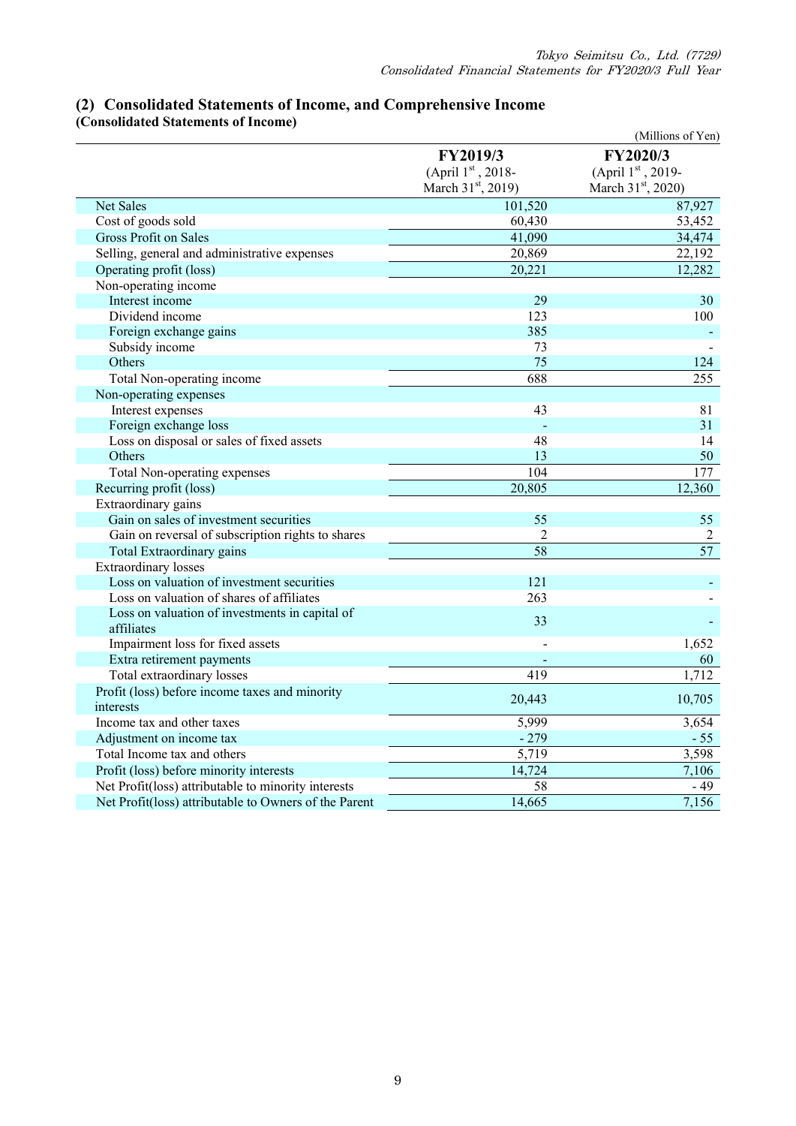| сонялишки энциппы от пісоніс                                 |                                                    | (Millions of Yen)                                                         |
|--------------------------------------------------------------|----------------------------------------------------|---------------------------------------------------------------------------|
|                                                              | FY2019/3<br>(April 1st, 2018-<br>March 31st, 2019) | FY2020/3<br>(April $1^{\rm st}$ , 2019-<br>March 31 <sup>st</sup> , 2020) |
| Net Sales                                                    | 101,520                                            | 87,927                                                                    |
| Cost of goods sold                                           | 60,430                                             | 53,452                                                                    |
| <b>Gross Profit on Sales</b>                                 | 41,090                                             | 34,474                                                                    |
| Selling, general and administrative expenses                 | 20,869                                             | 22,192                                                                    |
| Operating profit (loss)                                      | 20,221                                             | 12,282                                                                    |
| Non-operating income                                         |                                                    |                                                                           |
| Interest income                                              | 29                                                 | 30                                                                        |
| Dividend income                                              | 123                                                | 100                                                                       |
| Foreign exchange gains                                       | 385                                                |                                                                           |
| Subsidy income                                               | 73                                                 |                                                                           |
| Others                                                       | 75                                                 | 124                                                                       |
| Total Non-operating income                                   | 688                                                | 255                                                                       |
| Non-operating expenses                                       |                                                    |                                                                           |
| Interest expenses                                            | 43                                                 | 81                                                                        |
| Foreign exchange loss                                        |                                                    | 31                                                                        |
| Loss on disposal or sales of fixed assets                    | 48                                                 | 14                                                                        |
| Others                                                       | 13                                                 | 50                                                                        |
| Total Non-operating expenses                                 | 104                                                | $\overline{177}$                                                          |
| Recurring profit (loss)                                      | 20,805                                             | 12,360                                                                    |
| Extraordinary gains                                          |                                                    |                                                                           |
| Gain on sales of investment securities                       | 55                                                 | 55                                                                        |
| Gain on reversal of subscription rights to shares            | $\overline{2}$                                     | $\overline{2}$                                                            |
| Total Extraordinary gains                                    | 58                                                 | $\overline{57}$                                                           |
| Extraordinary losses                                         |                                                    |                                                                           |
| Loss on valuation of investment securities                   | 121                                                |                                                                           |
| Loss on valuation of shares of affiliates                    | 263                                                |                                                                           |
| Loss on valuation of investments in capital of<br>affiliates | 33                                                 |                                                                           |
| Impairment loss for fixed assets                             |                                                    | 1,652                                                                     |
| Extra retirement payments                                    |                                                    | 60                                                                        |
| Total extraordinary losses                                   | 419                                                | 1,712                                                                     |
| Profit (loss) before income taxes and minority<br>interests  | 20,443                                             | 10,705                                                                    |
| Income tax and other taxes                                   | 5,999                                              | 3,654                                                                     |
| Adjustment on income tax                                     | $-279$                                             | $-55$                                                                     |
| Total Income tax and others                                  | 5,719                                              | 3,598                                                                     |
| Profit (loss) before minority interests                      | 14,724                                             | 7,106                                                                     |
| Net Profit(loss) attributable to minority interests          | 58                                                 | $-49$                                                                     |
| Net Profit(loss) attributable to Owners of the Parent        | 14,665                                             | 7,156                                                                     |
|                                                              |                                                    |                                                                           |

### **(2) Consolidated Statements of Income, and Comprehensive Income (Consolidated Statements of Income)**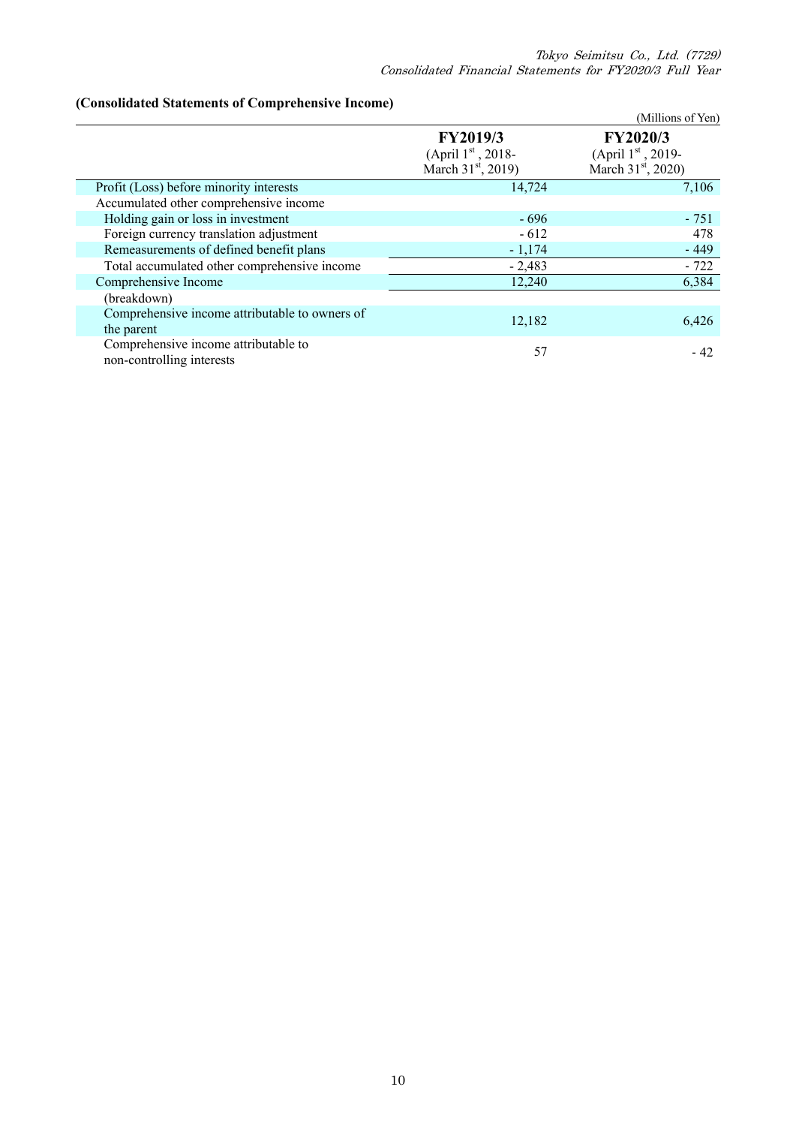### **(Consolidated Statements of Comprehensive Income)**

| TConsonuation Statements of Comprendisive Income/                 |                                | (Millions of Yen)              |
|-------------------------------------------------------------------|--------------------------------|--------------------------------|
|                                                                   | <b>FY2019/3</b>                | <b>FY2020/3</b>                |
|                                                                   | (April $1^{\rm st}$ , 2018-    | (April $1st$ , 2019-           |
|                                                                   | March 31 <sup>st</sup> , 2019) | March 31 <sup>st</sup> , 2020) |
| Profit (Loss) before minority interests                           | 14,724                         | 7,106                          |
| Accumulated other comprehensive income                            |                                |                                |
| Holding gain or loss in investment                                | $-696$                         | $-751$                         |
| Foreign currency translation adjustment                           | $-612$                         | 478                            |
| Remeasurements of defined benefit plans                           | $-1,174$                       | $-449$                         |
| Total accumulated other comprehensive income                      | $-2,483$                       | $-722$                         |
| Comprehensive Income                                              | 12,240                         | 6,384                          |
| (breakdown)                                                       |                                |                                |
| Comprehensive income attributable to owners of                    |                                |                                |
| the parent                                                        | 12,182                         | 6,426                          |
| Comprehensive income attributable to<br>non-controlling interests | 57                             | - 42                           |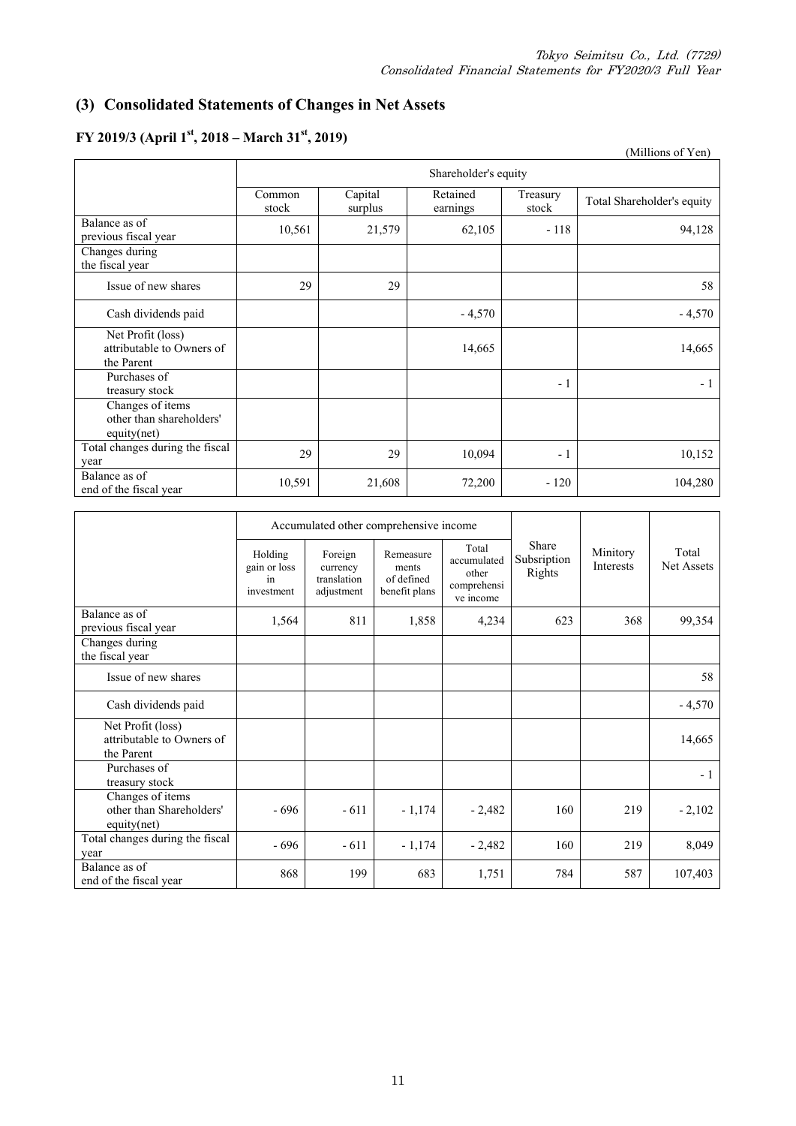### **(3) Consolidated Statements of Changes in Net Assets**

#### (Millions of Yen) Shareholder's equity Common stock Capital surplus Retained earnings Treasury reasury Total Shareholder's equity Balance as of Balance as of<br>previous fiscal year 10,561 21,579 62,105 - 118 94,128 Changes during the fiscal year Issue of new shares  $29 \mid 29 \mid 38 \mid 58$ Cash dividends paid  $-4,570$  -  $-4,570$ Net Profit (loss) attributable to Owners of the Parent 14,665 14,665 Purchases of<br>treasury stock  $\frac{1}{2}$  - 1  $\frac{1}{2}$  - 1  $\frac{1}{2}$  - 1  $\frac{1}{2}$  - 1  $\frac{1}{2}$  - 1 Changes of items other than shareholders' equity(net) Total changes during the fiscal  $\frac{10,004}{29}$  29  $\left[\begin{array}{cc} 29 & 29 \\ 29 & 29 \end{array}\right]$  10,094 - 1 10,152 Balance as of Expansion end of the fiscal year 10,591 10,591 21,608 72,200 - 120 104,280

### **FY 2019/3 (April 1st, 2018 – March 31st, 2019)**

|                                                              |                                             |                                                  | Accumulated other comprehensive income            |                                                           |                                |                       |                     |
|--------------------------------------------------------------|---------------------------------------------|--------------------------------------------------|---------------------------------------------------|-----------------------------------------------------------|--------------------------------|-----------------------|---------------------|
|                                                              | Holding<br>gain or loss<br>in<br>investment | Foreign<br>currency<br>translation<br>adjustment | Remeasure<br>ments<br>of defined<br>benefit plans | Total<br>accumulated<br>other<br>comprehensi<br>ve income | Share<br>Subsription<br>Rights | Minitory<br>Interests | Total<br>Net Assets |
| Balance as of<br>previous fiscal year                        | 1,564                                       | 811                                              | 1,858                                             | 4,234                                                     | 623                            | 368                   | 99,354              |
| Changes during<br>the fiscal year                            |                                             |                                                  |                                                   |                                                           |                                |                       |                     |
| Issue of new shares                                          |                                             |                                                  |                                                   |                                                           |                                |                       | 58                  |
| Cash dividends paid                                          |                                             |                                                  |                                                   |                                                           |                                |                       | $-4,570$            |
| Net Profit (loss)<br>attributable to Owners of<br>the Parent |                                             |                                                  |                                                   |                                                           |                                |                       | 14,665              |
| Purchases of<br>treasury stock                               |                                             |                                                  |                                                   |                                                           |                                |                       | $-1$                |
| Changes of items<br>other than Shareholders'<br>equity(net)  | $-696$                                      | $-611$                                           | $-1,174$                                          | $-2,482$                                                  | 160                            | 219                   | $-2,102$            |
| Total changes during the fiscal<br>year                      | $-696$                                      | $-611$                                           | $-1,174$                                          | $-2,482$                                                  | 160                            | 219                   | 8,049               |
| Balance as of<br>end of the fiscal year                      | 868                                         | 199                                              | 683                                               | 1,751                                                     | 784                            | 587                   | 107,403             |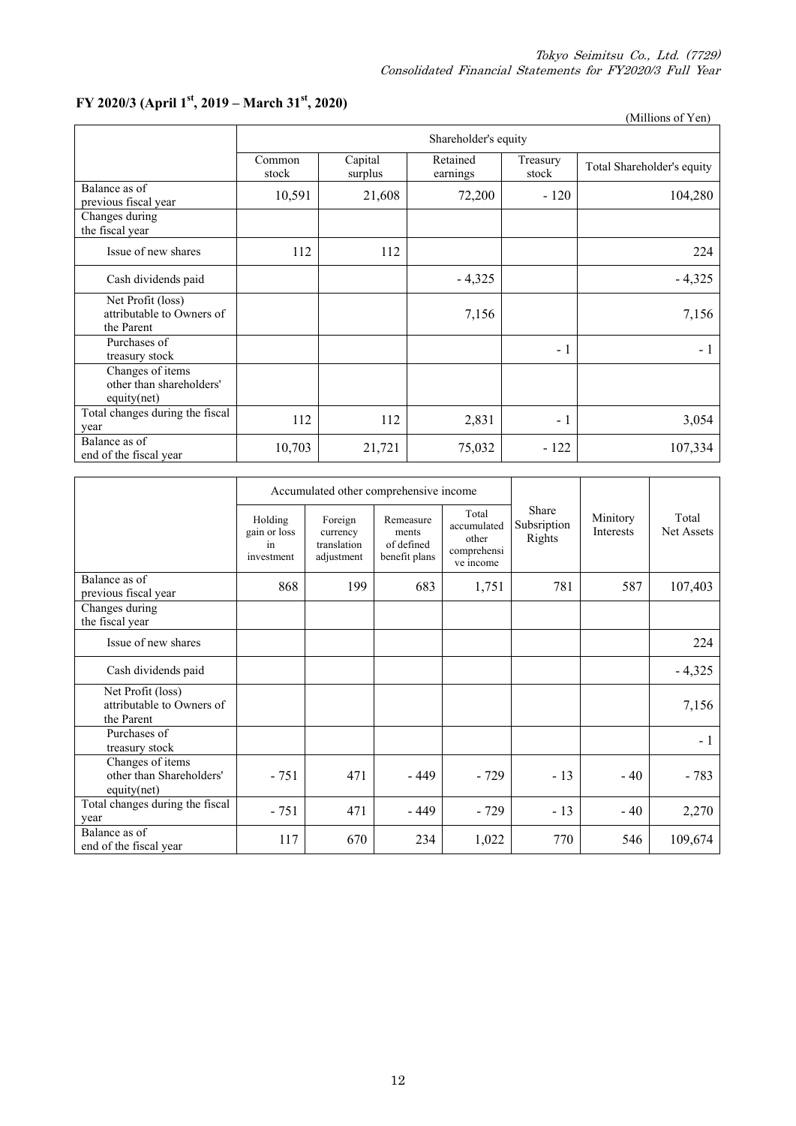# **FY 2020/3 (April 1st, 2019 – March 31st, 2020)**

|                                                              |                      |                    |                      |                   | (Millions of Yen)          |  |  |
|--------------------------------------------------------------|----------------------|--------------------|----------------------|-------------------|----------------------------|--|--|
|                                                              | Shareholder's equity |                    |                      |                   |                            |  |  |
|                                                              | Common<br>stock      | Capital<br>surplus | Retained<br>earnings | Treasury<br>stock | Total Shareholder's equity |  |  |
| Balance as of<br>previous fiscal year                        | 10,591               | 21,608             | 72,200               | $-120$            | 104,280                    |  |  |
| Changes during<br>the fiscal year                            |                      |                    |                      |                   |                            |  |  |
| Issue of new shares                                          | 112                  | 112                |                      |                   | 224                        |  |  |
| Cash dividends paid                                          |                      |                    | $-4,325$             |                   | $-4,325$                   |  |  |
| Net Profit (loss)<br>attributable to Owners of<br>the Parent |                      |                    | 7,156                |                   | 7,156                      |  |  |
| Purchases of<br>treasury stock                               |                      |                    |                      | $-1$              | $-1$                       |  |  |
| Changes of items<br>other than shareholders'<br>equity(net)  |                      |                    |                      |                   |                            |  |  |
| Total changes during the fiscal<br>year                      | 112                  | 112                | 2,831                | $-1$              | 3,054                      |  |  |
| Balance as of<br>end of the fiscal year                      | 10,703               | 21,721             | 75,032               | $-122$            | 107,334                    |  |  |

|                                                              |                                             |                                                  | Accumulated other comprehensive income            |                                                           |                                |                              |                     |
|--------------------------------------------------------------|---------------------------------------------|--------------------------------------------------|---------------------------------------------------|-----------------------------------------------------------|--------------------------------|------------------------------|---------------------|
|                                                              | Holding<br>gain or loss<br>in<br>investment | Foreign<br>currency<br>translation<br>adjustment | Remeasure<br>ments<br>of defined<br>benefit plans | Total<br>accumulated<br>other<br>comprehensi<br>ve income | Share<br>Subsription<br>Rights | Minitory<br><b>Interests</b> | Total<br>Net Assets |
| Balance as of<br>previous fiscal year                        | 868                                         | 199                                              | 683                                               | 1,751                                                     | 781                            | 587                          | 107,403             |
| Changes during<br>the fiscal year                            |                                             |                                                  |                                                   |                                                           |                                |                              |                     |
| Issue of new shares                                          |                                             |                                                  |                                                   |                                                           |                                |                              | 224                 |
| Cash dividends paid                                          |                                             |                                                  |                                                   |                                                           |                                |                              | $-4,325$            |
| Net Profit (loss)<br>attributable to Owners of<br>the Parent |                                             |                                                  |                                                   |                                                           |                                |                              | 7,156               |
| Purchases of<br>treasury stock                               |                                             |                                                  |                                                   |                                                           |                                |                              | $-1$                |
| Changes of items<br>other than Shareholders'<br>equity(net)  | $-751$                                      | 471                                              | - 449                                             | $-729$                                                    | $-13$                          | $-40$                        | $-783$              |
| Total changes during the fiscal<br>year                      | $-751$                                      | 471                                              | $-449$                                            | $-729$                                                    | $-13$                          | $-40$                        | 2,270               |
| Balance as of<br>end of the fiscal year                      | 117                                         | 670                                              | 234                                               | 1,022                                                     | 770                            | 546                          | 109,674             |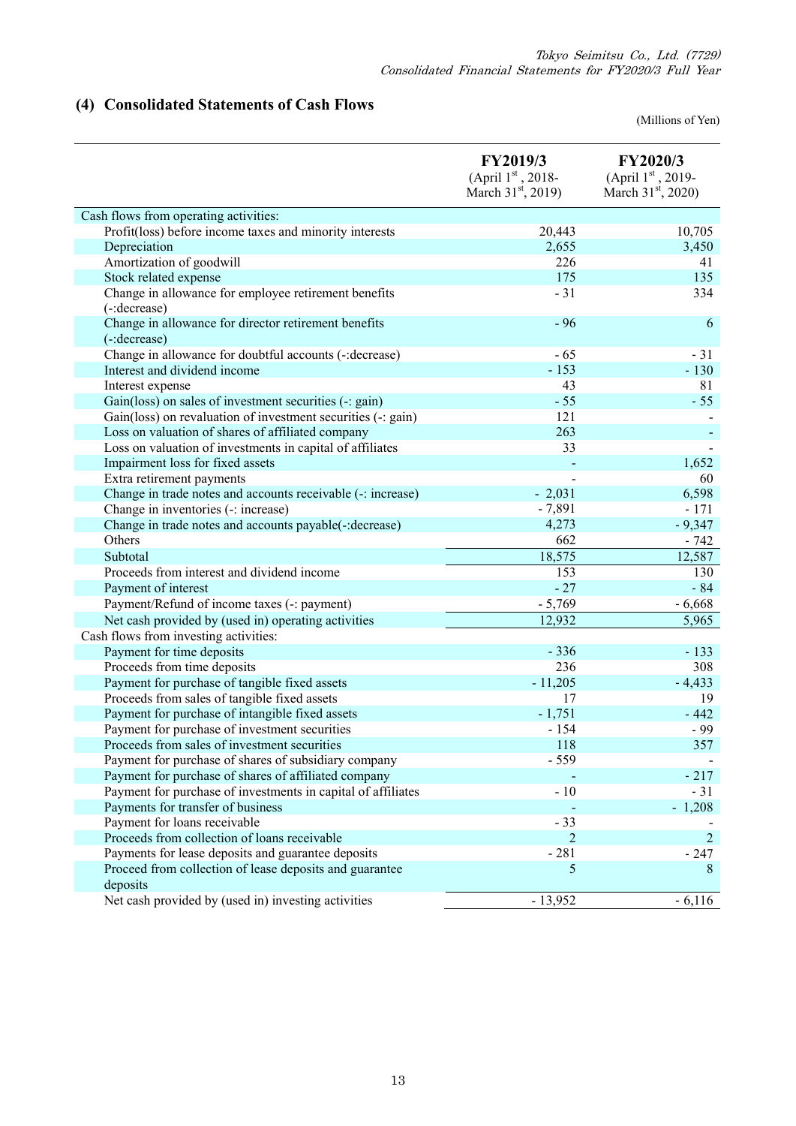# **(4) Consolidated Statements of Cash Flows**

(Millions of Yen)

|                                                              | <b>FY2019/3</b><br>(April 1st, 2018-<br>March $31st$ , 2019) | <b>FY2020/3</b><br>(April 1st, 2019-<br>March 31 <sup>st</sup> , 2020) |
|--------------------------------------------------------------|--------------------------------------------------------------|------------------------------------------------------------------------|
| Cash flows from operating activities:                        |                                                              |                                                                        |
| Profit(loss) before income taxes and minority interests      | 20,443                                                       | 10,705                                                                 |
| Depreciation                                                 | 2,655                                                        | 3,450                                                                  |
| Amortization of goodwill                                     | 226                                                          | 41                                                                     |
| Stock related expense                                        | 175                                                          | 135                                                                    |
| Change in allowance for employee retirement benefits         | $-31$                                                        | 334                                                                    |
| (-:decrease)                                                 |                                                              |                                                                        |
| Change in allowance for director retirement benefits         | $-96$                                                        | 6                                                                      |
| (-:decrease)                                                 |                                                              |                                                                        |
| Change in allowance for doubtful accounts (-: decrease)      | $-65$                                                        | $-31$                                                                  |
| Interest and dividend income                                 | $-153$                                                       | $-130$                                                                 |
| Interest expense                                             | 43                                                           | 81                                                                     |
| Gain(loss) on sales of investment securities (-: gain)       | $-55$                                                        | $-55$                                                                  |
| Gain(loss) on revaluation of investment securities (-: gain) | 121                                                          |                                                                        |
| Loss on valuation of shares of affiliated company            | 263                                                          |                                                                        |
| Loss on valuation of investments in capital of affiliates    | 33                                                           |                                                                        |
| Impairment loss for fixed assets                             |                                                              | 1,652                                                                  |
| Extra retirement payments                                    |                                                              | 60                                                                     |
| Change in trade notes and accounts receivable (-: increase)  | $-2,031$                                                     | 6,598                                                                  |
| Change in inventories (-: increase)                          | $-7,891$                                                     | $-171$                                                                 |
| Change in trade notes and accounts payable(-: decrease)      | 4,273                                                        | $-9,347$                                                               |
| Others                                                       | 662                                                          | $-742$                                                                 |
| Subtotal                                                     | 18,575                                                       | 12,587                                                                 |
| Proceeds from interest and dividend income                   | 153                                                          | 130                                                                    |
| Payment of interest                                          | $-27$                                                        | $-84$                                                                  |
| Payment/Refund of income taxes (-: payment)                  | $-5,769$                                                     | $-6,668$                                                               |
| Net cash provided by (used in) operating activities          | 12,932                                                       | 5,965                                                                  |
| Cash flows from investing activities:                        |                                                              |                                                                        |
| Payment for time deposits                                    | $-336$                                                       | $-133$                                                                 |
| Proceeds from time deposits                                  | 236                                                          | 308                                                                    |
| Payment for purchase of tangible fixed assets                | $-11,205$                                                    | $-4,433$                                                               |
| Proceeds from sales of tangible fixed assets                 | 17                                                           | 19                                                                     |
| Payment for purchase of intangible fixed assets              | $-1,751$                                                     | $-442$                                                                 |
| Payment for purchase of investment securities                | $-154$                                                       | $-99$                                                                  |
| Proceeds from sales of investment securities                 | 118                                                          | 357                                                                    |
| Payment for purchase of shares of subsidiary company         | $-559$                                                       |                                                                        |
| Payment for purchase of shares of affiliated company         |                                                              | $-217$                                                                 |
| Payment for purchase of investments in capital of affiliates | $-10$                                                        | $-31$                                                                  |
| Payments for transfer of business                            |                                                              | $-1,208$                                                               |
| Payment for loans receivable                                 | $-33$                                                        |                                                                        |
| Proceeds from collection of loans receivable                 | 2                                                            | $\overline{2}$                                                         |
| Payments for lease deposits and guarantee deposits           | $-281$                                                       | $-247$                                                                 |
| Proceed from collection of lease deposits and guarantee      | 5                                                            | 8                                                                      |
| deposits                                                     |                                                              |                                                                        |
| Net cash provided by (used in) investing activities          | $-13,952$                                                    | $-6,116$                                                               |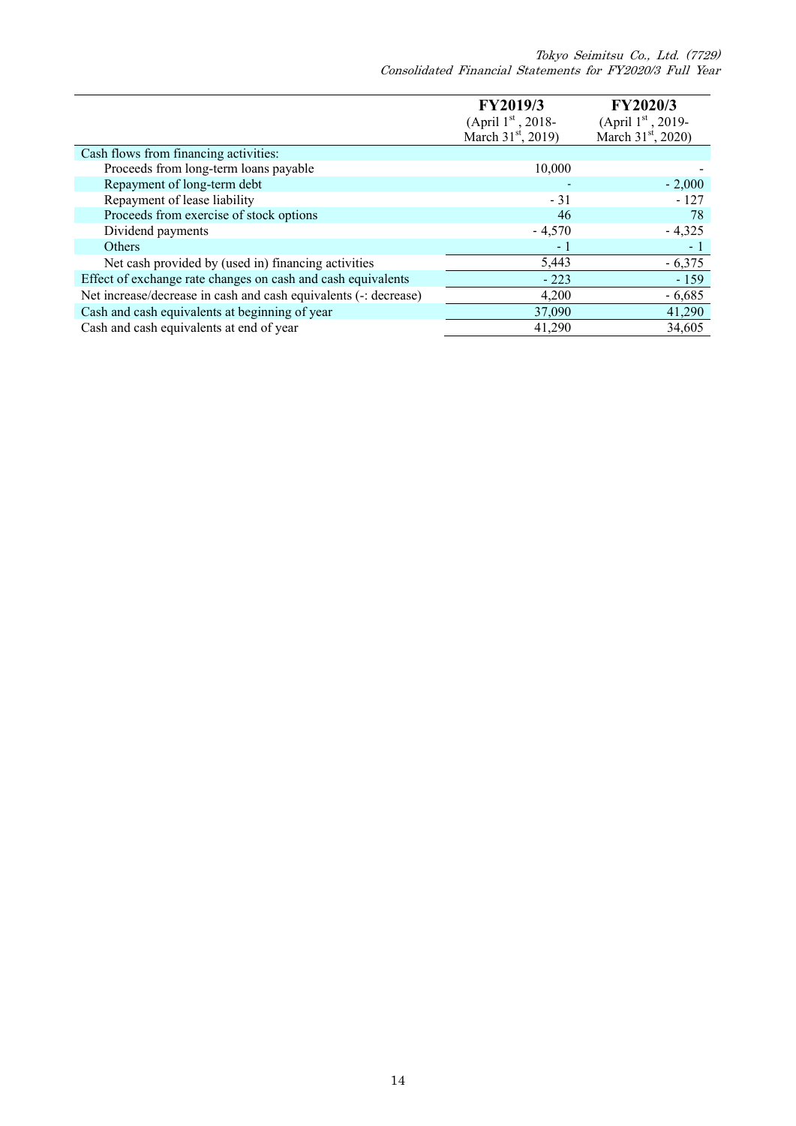Tokyo Seimitsu Co., Ltd. (7729) Consolidated Financial Statements for FY2020/3 Full Year

|                                                                  | FY2019/3                       | FY2020/3                       |
|------------------------------------------------------------------|--------------------------------|--------------------------------|
|                                                                  | (April $1st$ , 2018-           | (April 1st, 2019-              |
|                                                                  | March 31 <sup>st</sup> , 2019) | March 31 <sup>st</sup> , 2020) |
| Cash flows from financing activities:                            |                                |                                |
| Proceeds from long-term loans payable                            | 10,000                         |                                |
| Repayment of long-term debt                                      |                                | $-2,000$                       |
| Repayment of lease liability                                     | $-31$                          | $-127$                         |
| Proceeds from exercise of stock options                          | 46                             | 78                             |
| Dividend payments                                                | $-4,570$                       | $-4,325$                       |
| Others                                                           | - 1                            | $-1$                           |
| Net cash provided by (used in) financing activities              | 5,443                          | $-6,375$                       |
| Effect of exchange rate changes on cash and cash equivalents     | $-223$                         | $-159$                         |
| Net increase/decrease in cash and cash equivalents (-: decrease) | 4,200                          | $-6,685$                       |
| Cash and cash equivalents at beginning of year                   | 37,090                         | 41,290                         |
| Cash and cash equivalents at end of year                         | 41,290                         | 34,605                         |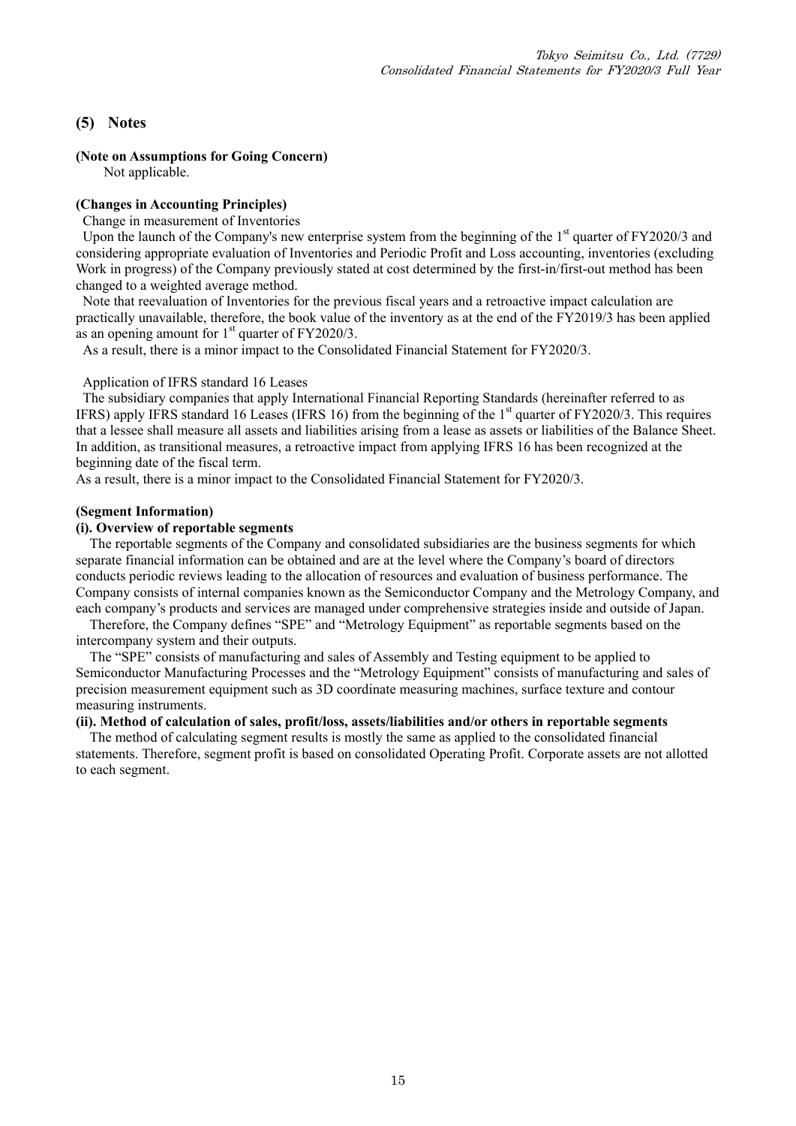### **(5) Notes**

#### **(Note on Assumptions for Going Concern)**

Not applicable.

### **(Changes in Accounting Principles)**

Change in measurement of Inventories

Upon the launch of the Company's new enterprise system from the beginning of the 1<sup>st</sup> quarter of FY2020/3 and considering appropriate evaluation of Inventories and Periodic Profit and Loss accounting, inventories (excluding Work in progress) of the Company previously stated at cost determined by the first-in/first-out method has been changed to a weighted average method.

Note that reevaluation of Inventories for the previous fiscal years and a retroactive impact calculation are practically unavailable, therefore, the book value of the inventory as at the end of the  $\overline{YY}2019/3$  has been applied as an opening amount for  $1<sup>st</sup>$  quarter of FY2020/3.

As a result, there is a minor impact to the Consolidated Financial Statement for FY2020/3.

#### Application of IFRS standard 16 Leases

 The subsidiary companies that apply International Financial Reporting Standards (hereinafter referred to as IFRS) apply IFRS standard 16 Leases (IFRS 16) from the beginning of the 1<sup>st</sup> quarter of FY2020/3. This requires that a lessee shall measure all assets and liabilities arising from a lease as assets or liabilities of the Balance Sheet. In addition, as transitional measures, a retroactive impact from applying IFRS 16 has been recognized at the beginning date of the fiscal term.

As a result, there is a minor impact to the Consolidated Financial Statement for FY2020/3.

#### **(Segment Information)**

#### **(i). Overview of reportable segments**

The reportable segments of the Company and consolidated subsidiaries are the business segments for which separate financial information can be obtained and are at the level where the Company's board of directors conducts periodic reviews leading to the allocation of resources and evaluation of business performance. The Company consists of internal companies known as the Semiconductor Company and the Metrology Company, and each company's products and services are managed under comprehensive strategies inside and outside of Japan.

Therefore, the Company defines "SPE" and "Metrology Equipment" as reportable segments based on the intercompany system and their outputs.

The "SPE" consists of manufacturing and sales of Assembly and Testing equipment to be applied to Semiconductor Manufacturing Processes and the "Metrology Equipment" consists of manufacturing and sales of precision measurement equipment such as 3D coordinate measuring machines, surface texture and contour measuring instruments.

#### **(ii). Method of calculation of sales, profit/loss, assets/liabilities and/or others in reportable segments**

The method of calculating segment results is mostly the same as applied to the consolidated financial statements. Therefore, segment profit is based on consolidated Operating Profit. Corporate assets are not allotted to each segment.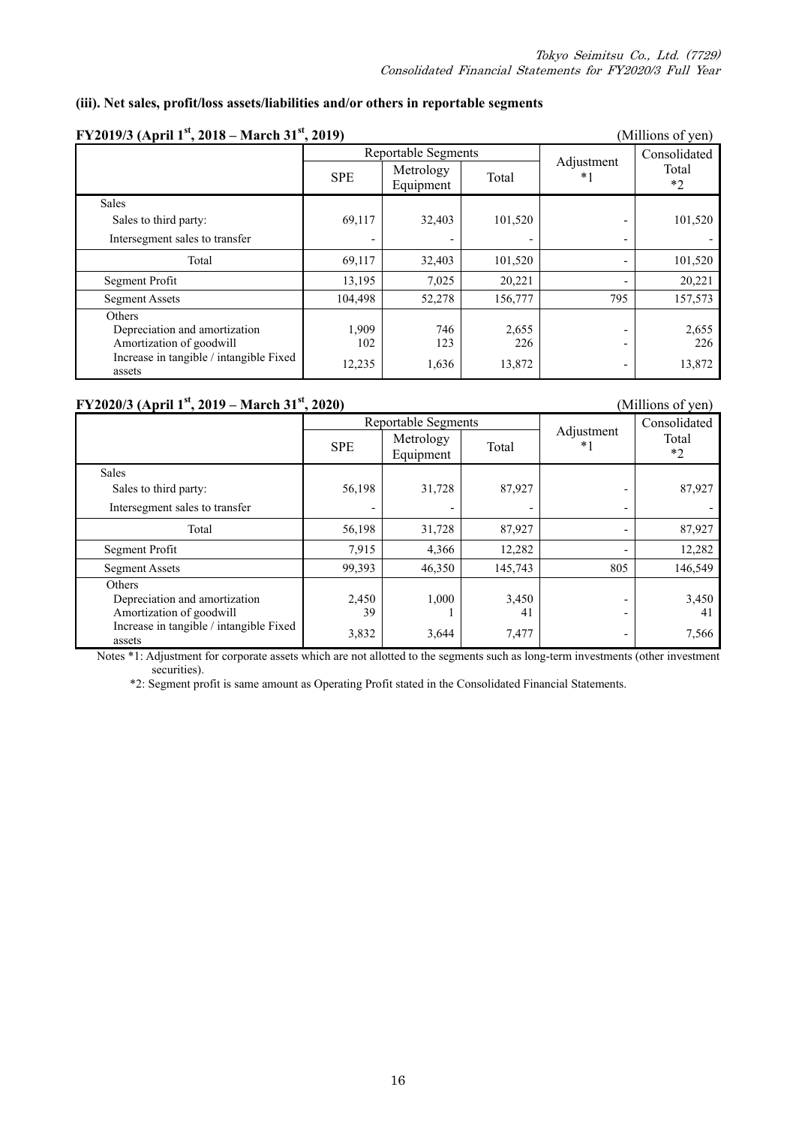### **(iii). Net sales, profit/loss assets/liabilities and/or others in reportable segments**

| FY2019/3 (April 1 <sup>st</sup> , 2018 – March 31 <sup>st</sup> , 2019)                                                         |                        | (Millions of yen)      |                        |                        |                        |
|---------------------------------------------------------------------------------------------------------------------------------|------------------------|------------------------|------------------------|------------------------|------------------------|
|                                                                                                                                 |                        | Reportable Segments    |                        |                        | Consolidated           |
|                                                                                                                                 | <b>SPE</b>             | Metrology<br>Equipment | Total                  | Adjustment<br>$\ast$ : | Total<br>$*2$          |
| Sales                                                                                                                           |                        |                        |                        |                        |                        |
| Sales to third party:                                                                                                           | 69,117                 | 32,403                 | 101,520                |                        | 101,520                |
| Intersegment sales to transfer                                                                                                  |                        |                        |                        |                        |                        |
| Total                                                                                                                           | 69,117                 | 32,403                 | 101,520                |                        | 101,520                |
| Segment Profit                                                                                                                  | 13,195                 | 7,025                  | 20,221                 |                        | 20,221                 |
| <b>Segment Assets</b>                                                                                                           | 104,498                | 52,278                 | 156,777                | 795                    | 157,573                |
| <b>Others</b><br>Depreciation and amortization<br>Amortization of goodwill<br>Increase in tangible / intangible Fixed<br>assets | 1,909<br>102<br>12,235 | 746<br>123<br>1,636    | 2,655<br>226<br>13,872 |                        | 2,655<br>226<br>13,872 |

**FY2020/3 (April 1<sup>st</sup>, 2019 – March 31<sup>st</sup>, 2020)** (Millions of yen) Reportable Segments<br>
Metrology<br>
The Lateral Adjustment \*1 Consolidated Total  $SPE$  Metrology Total  $*1$  Total  $*1$  Tota Equipment Total Sales Sales to third party: 56,198 31,728 87,927 - 87,927 Intersegment sales to transfer Total 56,198 31,728 87,927 - 87,927 Segment Profit 12,282 - 12,282 Segment Assets 99,393 46,350 145,743 805 146,549 Others Depreciation and amortization 2,450 1,000 3,450 - 3,450 Amortization of goodwill 39 1 41 - 41 Increase in tangible / intangible Fixed  $3,832$   $3,644$   $7,477$   $-$  7,566 assets  $-$  7,566

Notes \*1: Adjustment for corporate assets which are not allotted to the segments such as long-term investments (other investment securities).

\*2: Segment profit is same amount as Operating Profit stated in the Consolidated Financial Statements.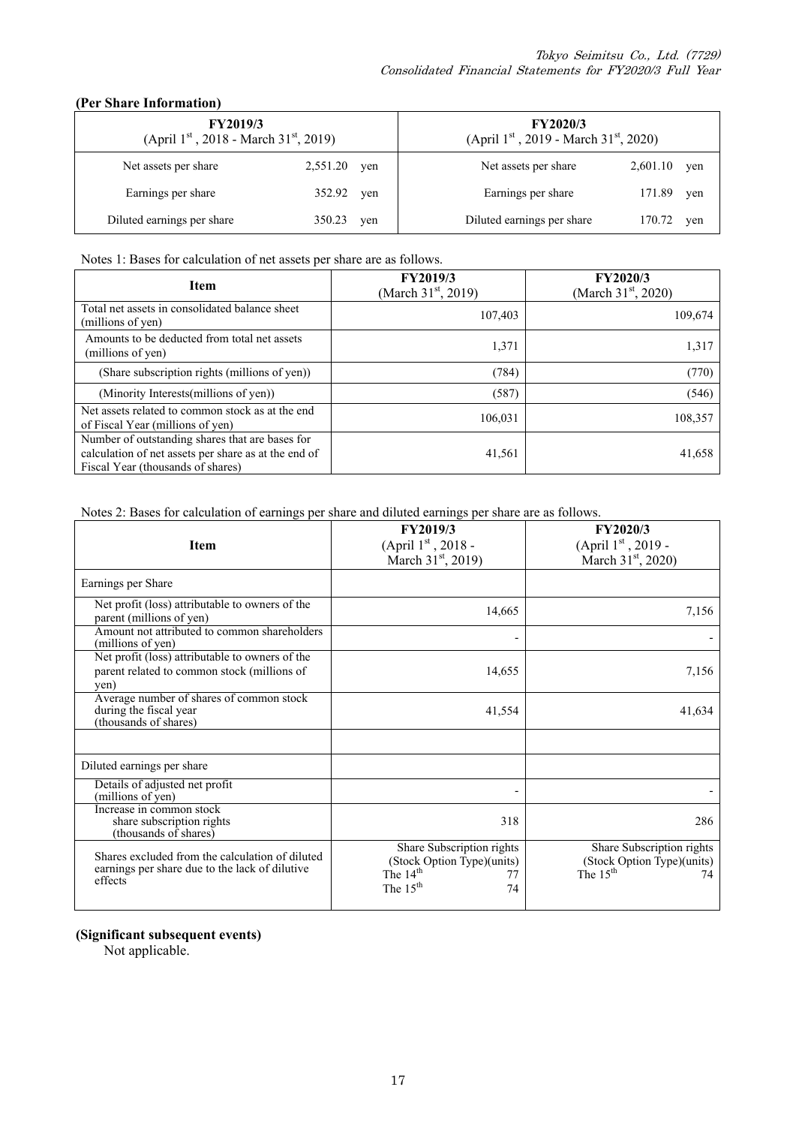### **(Per Share Information)**

| <b>FY2019/3</b><br>(April 1st, 2018 - March 31st, 2019) |          | <b>FY2020/3</b><br>(April $1^{st}$ , 2019 - March 31 <sup>st</sup> , 2020) |                                      |     |
|---------------------------------------------------------|----------|----------------------------------------------------------------------------|--------------------------------------|-----|
| Net assets per share                                    | 2,551.20 | yen                                                                        | 2,601.10<br>Net assets per share     | yen |
| Earnings per share                                      | 352.92   | yen                                                                        | Earnings per share<br>171.89         | yen |
| Diluted earnings per share                              | 350.23   | yen                                                                        | Diluted earnings per share<br>170.72 | yen |

### Notes 1: Bases for calculation of net assets per share are as follows.

| <b>Item</b>                                                                                                                                  | <b>FY2019/3</b><br>(March $31st$ , 2019) | <b>FY2020/3</b><br>(March $31st$ , 2020) |
|----------------------------------------------------------------------------------------------------------------------------------------------|------------------------------------------|------------------------------------------|
| Total net assets in consolidated balance sheet<br>(millions of yen)                                                                          | 107,403                                  | 109,674                                  |
| Amounts to be deducted from total net assets<br>(millions of yen)                                                                            | 1,371                                    | 1,317                                    |
| (Share subscription rights (millions of yen))                                                                                                | (784)                                    | (770)                                    |
| (Minority Interests(millions of yen))                                                                                                        | (587)                                    | (546)                                    |
| Net assets related to common stock as at the end<br>of Fiscal Year (millions of yen)                                                         | 106.031                                  | 108,357                                  |
| Number of outstanding shares that are bases for<br>calculation of net assets per share as at the end of<br>Fiscal Year (thousands of shares) | 41,561                                   | 41,658                                   |

Notes 2: Bases for calculation of earnings per share and diluted earnings per share are as follows.

| <b>Item</b>                                                                                                  | FY2019/3<br>(April 1st, 2018 -<br>March $31^{\rm st}$ , 2019)                                             | <b>FY2020/3</b><br>(April $1st$ , 2019 -<br>March $31st$ , 2020)            |
|--------------------------------------------------------------------------------------------------------------|-----------------------------------------------------------------------------------------------------------|-----------------------------------------------------------------------------|
| Earnings per Share                                                                                           |                                                                                                           |                                                                             |
| Net profit (loss) attributable to owners of the<br>parent (millions of yen)                                  | 14,665                                                                                                    | 7,156                                                                       |
| Amount not attributed to common shareholders<br>(millions of yen)                                            |                                                                                                           |                                                                             |
| Net profit (loss) attributable to owners of the<br>parent related to common stock (millions of<br>yen)       | 14,655                                                                                                    | 7,156                                                                       |
| Average number of shares of common stock<br>during the fiscal year<br>(thousands of shares)                  | 41,554                                                                                                    | 41,634                                                                      |
|                                                                                                              |                                                                                                           |                                                                             |
| Diluted earnings per share                                                                                   |                                                                                                           |                                                                             |
| Details of adjusted net profit<br>(millions of yen)                                                          |                                                                                                           |                                                                             |
| Increase in common stock<br>share subscription rights<br>(thousands of shares)                               | 318                                                                                                       | 286                                                                         |
| Shares excluded from the calculation of diluted<br>earnings per share due to the lack of dilutive<br>effects | Share Subscription rights<br>(Stock Option Type)(units)<br>The 14 <sup>th</sup><br>77<br>The $15th$<br>74 | Share Subscription rights<br>(Stock Option Type)(units)<br>The $15th$<br>74 |

### **(Significant subsequent events)**

Not applicable.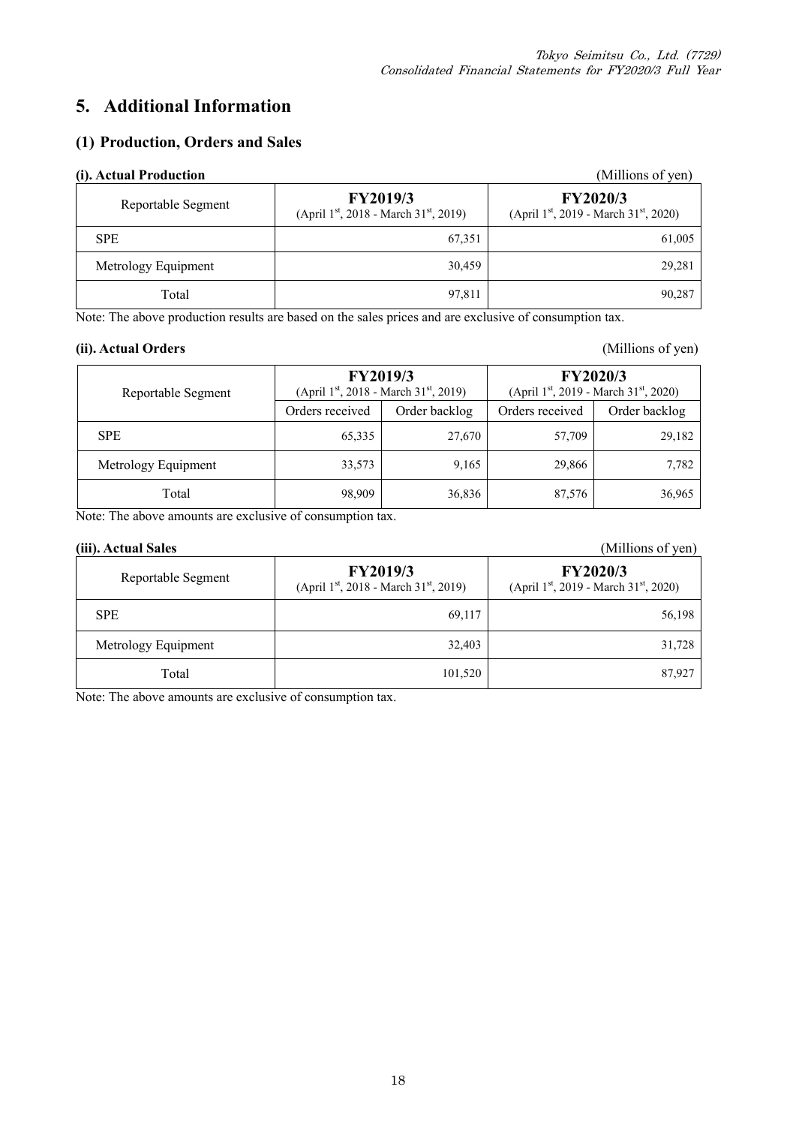# **5. Additional Information**

### **(1) Production, Orders and Sales**

| (i). Actual Production |                                                                                   | (Millions of yen)                                                                 |
|------------------------|-----------------------------------------------------------------------------------|-----------------------------------------------------------------------------------|
| Reportable Segment     | <b>FY2019/3</b><br>(April 1 <sup>st</sup> , 2018 - March 31 <sup>st</sup> , 2019) | <b>FY2020/3</b><br>(April 1 <sup>st</sup> , 2019 - March 31 <sup>st</sup> , 2020) |
| <b>SPE</b>             | 67.351                                                                            | 61,005                                                                            |
| Metrology Equipment    | 30,459                                                                            | 29,281                                                                            |
| Total                  | 97,811                                                                            | 90,287                                                                            |

Note: The above production results are based on the sales prices and are exclusive of consumption tax.

### **(ii). Actual Orders** (Millions of yen)

| Reportable Segment  | FY2019/3<br>(April 1 <sup>st</sup> , 2018 - March 31 <sup>st</sup> , 2019) |               | <b>FY2020/3</b><br>(April $1^{st}$ , 2019 - March 31 <sup>st</sup> , 2020) |               |
|---------------------|----------------------------------------------------------------------------|---------------|----------------------------------------------------------------------------|---------------|
|                     | Orders received                                                            | Order backlog | Orders received                                                            | Order backlog |
| <b>SPE</b>          | 65,335                                                                     | 27,670        | 57,709                                                                     | 29,182        |
| Metrology Equipment | 33,573                                                                     | 9,165         | 29,866                                                                     | 7,782         |
| Total               | 98,909                                                                     | 36,836        | 87,576                                                                     | 36,965        |

Note: The above amounts are exclusive of consumption tax.

#### **(iii). Actual Sales** (Millions of yen)

| Reportable Segment  | <b>FY2019/3</b><br>(April $1^{st}$ , 2018 - March $31^{st}$ , 2019) | <b>FY2020/3</b><br>(April $1st$ , 2019 - March 31 <sup>st</sup> , 2020) |
|---------------------|---------------------------------------------------------------------|-------------------------------------------------------------------------|
| <b>SPE</b>          | 69,117                                                              | 56,198                                                                  |
| Metrology Equipment | 32,403                                                              | 31,728                                                                  |
| Total               | 101,520                                                             | 87,927                                                                  |

Note: The above amounts are exclusive of consumption tax.